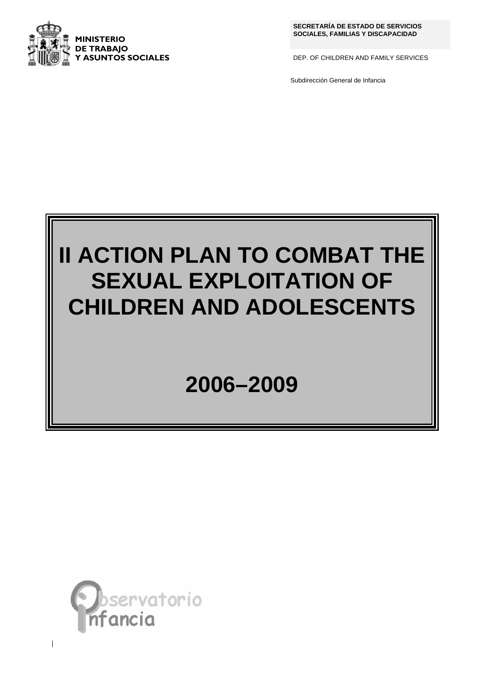

**SECRETARÍA DE ESTADO DE SERVICIOS** 

DEP. OF CHILDREN AND FAMILY SERVICES

Subdirección General de Infancia

# **II ACTION PLAN TO COMBAT THE SEXUAL EXPLOITATION OF CHILDREN AND ADOLESCENTS**

## **2006–2009**



 $\overline{\phantom{a}}$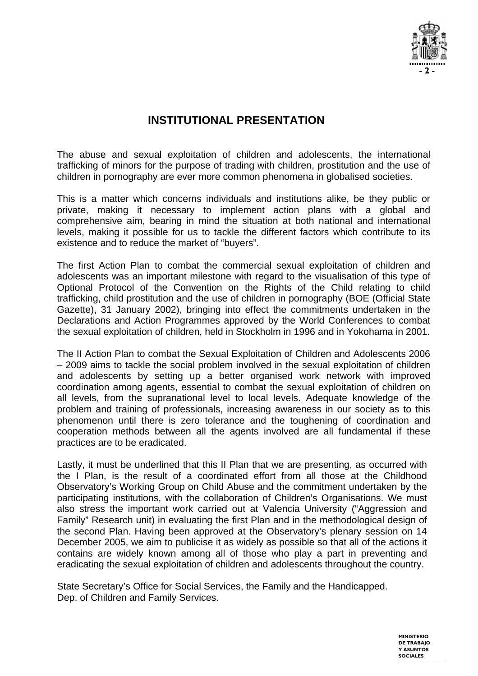

## **INSTITUTIONAL PRESENTATION**

The abuse and sexual exploitation of children and adolescents, the international trafficking of minors for the purpose of trading with children, prostitution and the use of children in pornography are ever more common phenomena in globalised societies.

This is a matter which concerns individuals and institutions alike, be they public or private, making it necessary to implement action plans with a global and comprehensive aim, bearing in mind the situation at both national and international levels, making it possible for us to tackle the different factors which contribute to its existence and to reduce the market of "buyers".

The first Action Plan to combat the commercial sexual exploitation of children and adolescents was an important milestone with regard to the visualisation of this type of Optional Protocol of the Convention on the Rights of the Child relating to child trafficking, child prostitution and the use of children in pornography (BOE (Official State Gazette), 31 January 2002), bringing into effect the commitments undertaken in the Declarations and Action Programmes approved by the World Conferences to combat the sexual exploitation of children, held in Stockholm in 1996 and in Yokohama in 2001.

The II Action Plan to combat the Sexual Exploitation of Children and Adolescents 2006 – 2009 aims to tackle the social problem involved in the sexual exploitation of children and adolescents by setting up a better organised work network with improved coordination among agents, essential to combat the sexual exploitation of children on all levels, from the supranational level to local levels. Adequate knowledge of the problem and training of professionals, increasing awareness in our society as to this phenomenon until there is zero tolerance and the toughening of coordination and cooperation methods between all the agents involved are all fundamental if these practices are to be eradicated.

Lastly, it must be underlined that this II Plan that we are presenting, as occurred with the I Plan, is the result of a coordinated effort from all those at the Childhood Observatory's Working Group on Child Abuse and the commitment undertaken by the participating institutions, with the collaboration of Children's Organisations. We must also stress the important work carried out at Valencia University ("Aggression and Family" Research unit) in evaluating the first Plan and in the methodological design of the second Plan. Having been approved at the Observatory's plenary session on 14 December 2005, we aim to publicise it as widely as possible so that all of the actions it contains are widely known among all of those who play a part in preventing and eradicating the sexual exploitation of children and adolescents throughout the country.

State Secretary's Office for Social Services, the Family and the Handicapped. Dep. of Children and Family Services.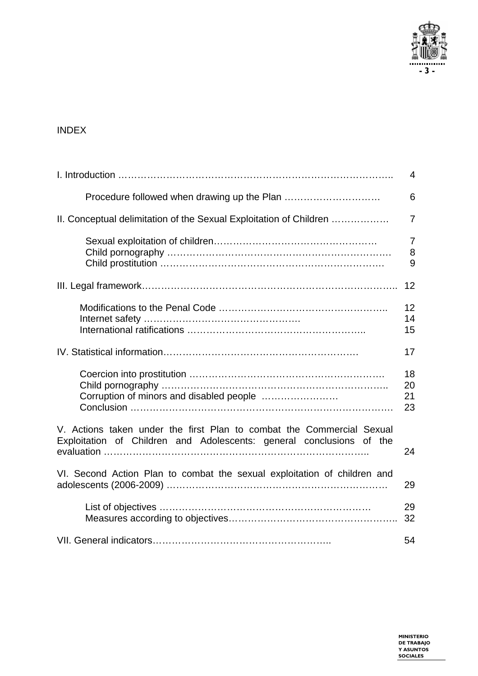

### INDEX

|                                                                                                                                               | $\overline{4}$           |
|-----------------------------------------------------------------------------------------------------------------------------------------------|--------------------------|
|                                                                                                                                               | 6                        |
| II. Conceptual delimitation of the Sexual Exploitation of Children                                                                            | $\overline{7}$           |
|                                                                                                                                               | $\overline{7}$<br>8<br>9 |
|                                                                                                                                               | 12                       |
|                                                                                                                                               | 12<br>14<br>15           |
|                                                                                                                                               | 17                       |
|                                                                                                                                               | 18<br>20<br>21<br>23     |
| V. Actions taken under the first Plan to combat the Commercial Sexual<br>Exploitation of Children and Adolescents: general conclusions of the | 24                       |
| VI. Second Action Plan to combat the sexual exploitation of children and                                                                      | 29                       |
|                                                                                                                                               | 29<br>32                 |
|                                                                                                                                               | 54                       |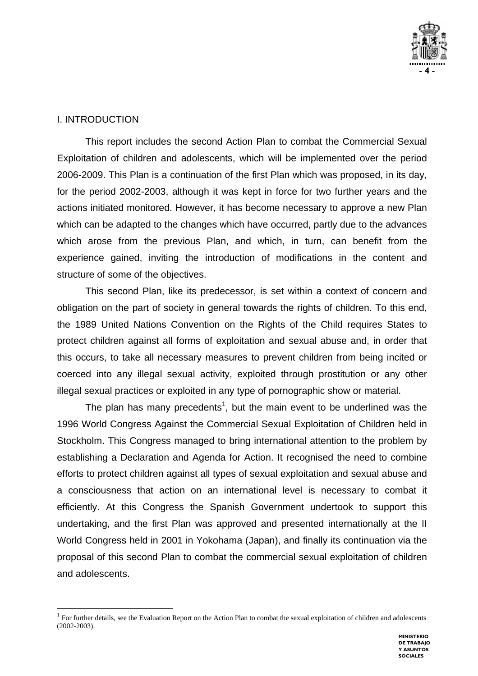

#### I. INTRODUCTION

 $\overline{a}$ 

This report includes the second Action Plan to combat the Commercial Sexual Exploitation of children and adolescents, which will be implemented over the period 2006-2009. This Plan is a continuation of the first Plan which was proposed, in its day, for the period 2002-2003, although it was kept in force for two further years and the actions initiated monitored. However, it has become necessary to approve a new Plan which can be adapted to the changes which have occurred, partly due to the advances which arose from the previous Plan, and which, in turn, can benefit from the experience gained, inviting the introduction of modifications in the content and structure of some of the objectives.

This second Plan, like its predecessor, is set within a context of concern and obligation on the part of society in general towards the rights of children. To this end, the 1989 United Nations Convention on the Rights of the Child requires States to protect children against all forms of exploitation and sexual abuse and, in order that this occurs, to take all necessary measures to prevent children from being incited or coerced into any illegal sexual activity, exploited through prostitution or any other illegal sexual practices or exploited in any type of pornographic show or material.

The plan has many precedents<sup>1</sup>, but the main event to be underlined was the 1996 World Congress Against the Commercial Sexual Exploitation of Children held in Stockholm. This Congress managed to bring international attention to the problem by establishing a Declaration and Agenda for Action. It recognised the need to combine efforts to protect children against all types of sexual exploitation and sexual abuse and a consciousness that action on an international level is necessary to combat it efficiently. At this Congress the Spanish Government undertook to support this undertaking, and the first Plan was approved and presented internationally at the II World Congress held in 2001 in Yokohama (Japan), and finally its continuation via the proposal of this second Plan to combat the commercial sexual exploitation of children and adolescents.

<sup>&</sup>lt;sup>1</sup> For further details, see the Evaluation Report on the Action Plan to combat the sexual exploitation of children and adolescents (2002-2003).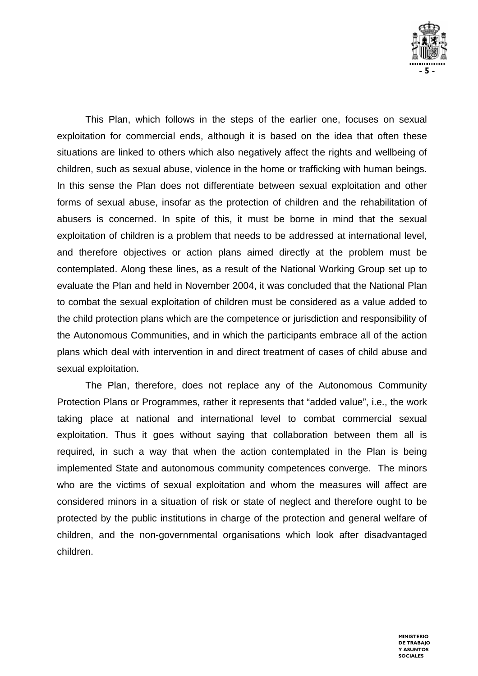

This Plan, which follows in the steps of the earlier one, focuses on sexual exploitation for commercial ends, although it is based on the idea that often these situations are linked to others which also negatively affect the rights and wellbeing of children, such as sexual abuse, violence in the home or trafficking with human beings. In this sense the Plan does not differentiate between sexual exploitation and other forms of sexual abuse, insofar as the protection of children and the rehabilitation of abusers is concerned. In spite of this, it must be borne in mind that the sexual exploitation of children is a problem that needs to be addressed at international level, and therefore objectives or action plans aimed directly at the problem must be contemplated. Along these lines, as a result of the National Working Group set up to evaluate the Plan and held in November 2004, it was concluded that the National Plan to combat the sexual exploitation of children must be considered as a value added to the child protection plans which are the competence or jurisdiction and responsibility of the Autonomous Communities, and in which the participants embrace all of the action plans which deal with intervention in and direct treatment of cases of child abuse and sexual exploitation.

The Plan, therefore, does not replace any of the Autonomous Community Protection Plans or Programmes, rather it represents that "added value", i.e., the work taking place at national and international level to combat commercial sexual exploitation. Thus it goes without saying that collaboration between them all is required, in such a way that when the action contemplated in the Plan is being implemented State and autonomous community competences converge. The minors who are the victims of sexual exploitation and whom the measures will affect are considered minors in a situation of risk or state of neglect and therefore ought to be protected by the public institutions in charge of the protection and general welfare of children, and the non-governmental organisations which look after disadvantaged children.

> **MINISTERIO DE TRABAJO Y ASUNTOS SOCIALES**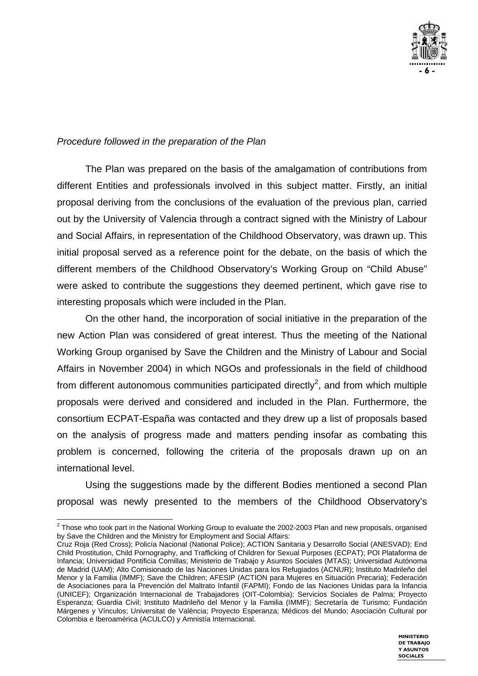

#### *Procedure followed in the preparation of the Plan*

The Plan was prepared on the basis of the amalgamation of contributions from different Entities and professionals involved in this subject matter. Firstly, an initial proposal deriving from the conclusions of the evaluation of the previous plan, carried out by the University of Valencia through a contract signed with the Ministry of Labour and Social Affairs, in representation of the Childhood Observatory, was drawn up. This initial proposal served as a reference point for the debate, on the basis of which the different members of the Childhood Observatory's Working Group on "Child Abuse" were asked to contribute the suggestions they deemed pertinent, which gave rise to interesting proposals which were included in the Plan.

On the other hand, the incorporation of social initiative in the preparation of the new Action Plan was considered of great interest. Thus the meeting of the National Working Group organised by Save the Children and the Ministry of Labour and Social Affairs in November 2004) in which NGOs and professionals in the field of childhood from different autonomous communities participated directly<sup>2</sup>, and from which multiple proposals were derived and considered and included in the Plan. Furthermore, the consortium ECPAT-España was contacted and they drew up a list of proposals based on the analysis of progress made and matters pending insofar as combating this problem is concerned, following the criteria of the proposals drawn up on an international level.

Using the suggestions made by the different Bodies mentioned a second Plan proposal was newly presented to the members of the Childhood Observatory's

Cruz Roja (Red Cross); Policía Nacional (National Police); ACTION Sanitaria y Desarrollo Social (ANESVAD); End Child Prostitution, Child Pornography, and Trafficking of Children for Sexual Purposes (ECPAT); POI Plataforma de Infancia; Universidad Pontificia Comillas; Ministerio de Trabajo y Asuntos Sociales (MTAS); Universidad Autónoma de Madrid (UAM); Alto Comisionado de las Naciones Unidas para los Refugiados (ACNUR); Instituto Madrileño del Menor y la Familia (IMMF); Save the Children; AFESIP (ACTION para Mujeres en Situación Precaria); Federación de Asociaciones para la Prevención del Maltrato Infantil (FAPMI); Fondo de las Naciones Unidas para la Infancia (UNICEF); Organización Internacional de Trabajadores (OIT-Colombia); Servicios Sociales de Palma; Proyecto Esperanza; Guardia Civil; Instituto Madrileño del Menor y la Familia (IMMF); Secretaría de Turismo; Fundación Márgenes y Vínculos; Universitat de València; Proyecto Esperanza; Médicos del Mundo; Asociación Cultural por Colombia e Iberoamérica (ACULCO) y Amnistía Internacional.



 2 Those who took part in the National Working Group to evaluate the 2002-2003 Plan and new proposals, organised by Save the Children and the Ministry for Employment and Social Affairs: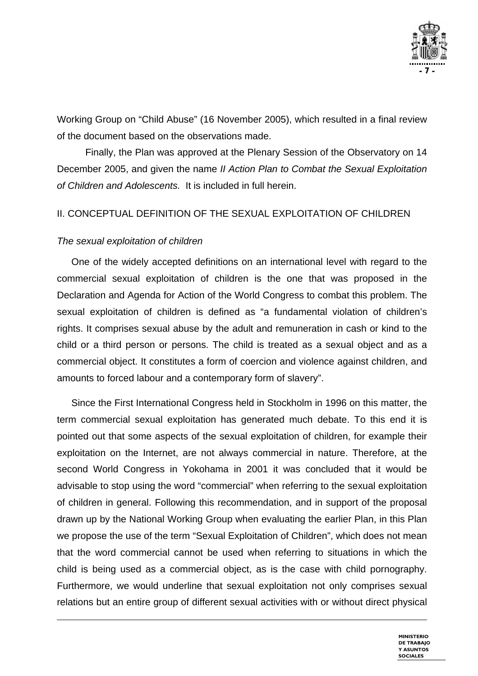

Working Group on "Child Abuse" (16 November 2005), which resulted in a final review of the document based on the observations made.

Finally, the Plan was approved at the Plenary Session of the Observatory on 14 December 2005, and given the name *II Action Plan to Combat the Sexual Exploitation of Children and Adolescents.* It is included in full herein.

#### II. CONCEPTUAL DEFINITION OF THE SEXUAL EXPLOITATION OF CHILDREN

#### *The sexual exploitation of children*

 $\overline{a}$ 

One of the widely accepted definitions on an international level with regard to the commercial sexual exploitation of children is the one that was proposed in the Declaration and Agenda for Action of the World Congress to combat this problem. The sexual exploitation of children is defined as "a fundamental violation of children's rights. It comprises sexual abuse by the adult and remuneration in cash or kind to the child or a third person or persons. The child is treated as a sexual object and as a commercial object. It constitutes a form of coercion and violence against children, and amounts to forced labour and a contemporary form of slavery".

Since the First International Congress held in Stockholm in 1996 on this matter, the term commercial sexual exploitation has generated much debate. To this end it is pointed out that some aspects of the sexual exploitation of children, for example their exploitation on the Internet, are not always commercial in nature. Therefore, at the second World Congress in Yokohama in 2001 it was concluded that it would be advisable to stop using the word "commercial" when referring to the sexual exploitation of children in general. Following this recommendation, and in support of the proposal drawn up by the National Working Group when evaluating the earlier Plan, in this Plan we propose the use of the term "Sexual Exploitation of Children", which does not mean that the word commercial cannot be used when referring to situations in which the child is being used as a commercial object, as is the case with child pornography. Furthermore, we would underline that sexual exploitation not only comprises sexual relations but an entire group of different sexual activities with or without direct physical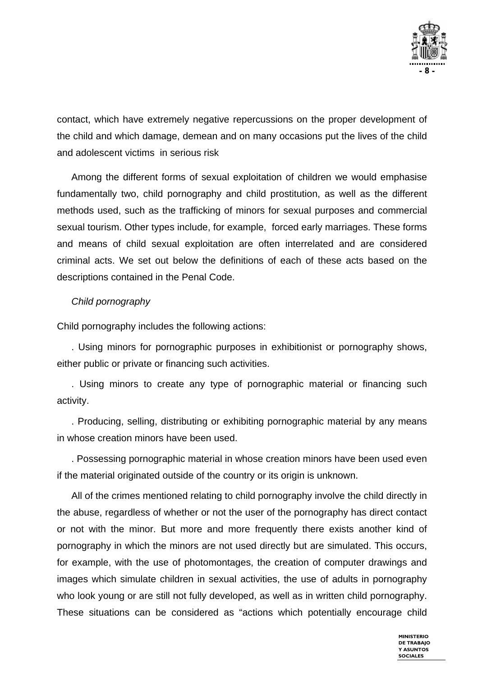

contact, which have extremely negative repercussions on the proper development of the child and which damage, demean and on many occasions put the lives of the child and adolescent victims in serious risk

Among the different forms of sexual exploitation of children we would emphasise fundamentally two, child pornography and child prostitution, as well as the different methods used, such as the trafficking of minors for sexual purposes and commercial sexual tourism. Other types include, for example, forced early marriages. These forms and means of child sexual exploitation are often interrelated and are considered criminal acts. We set out below the definitions of each of these acts based on the descriptions contained in the Penal Code.

#### *Child pornography*

Child pornography includes the following actions:

. Using minors for pornographic purposes in exhibitionist or pornography shows, either public or private or financing such activities.

. Using minors to create any type of pornographic material or financing such activity.

. Producing, selling, distributing or exhibiting pornographic material by any means in whose creation minors have been used.

. Possessing pornographic material in whose creation minors have been used even if the material originated outside of the country or its origin is unknown.

All of the crimes mentioned relating to child pornography involve the child directly in the abuse, regardless of whether or not the user of the pornography has direct contact or not with the minor. But more and more frequently there exists another kind of pornography in which the minors are not used directly but are simulated. This occurs, for example, with the use of photomontages, the creation of computer drawings and images which simulate children in sexual activities, the use of adults in pornography who look young or are still not fully developed, as well as in written child pornography. These situations can be considered as "actions which potentially encourage child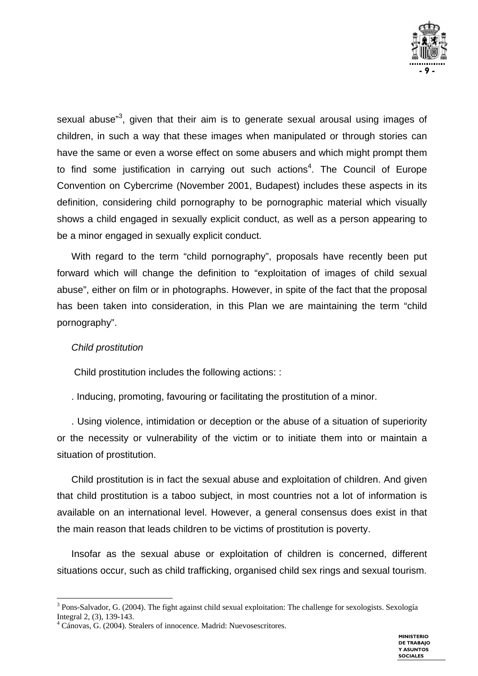

sexual abuse"<sup>3</sup>, given that their aim is to generate sexual arousal using images of children, in such a way that these images when manipulated or through stories can have the same or even a worse effect on some abusers and which might prompt them to find some justification in carrying out such actions<sup>4</sup>. The Council of Europe Convention on Cybercrime (November 2001, Budapest) includes these aspects in its definition, considering child pornography to be pornographic material which visually shows a child engaged in sexually explicit conduct, as well as a person appearing to be a minor engaged in sexually explicit conduct.

With regard to the term "child pornography", proposals have recently been put forward which will change the definition to "exploitation of images of child sexual abuse", either on film or in photographs. However, in spite of the fact that the proposal has been taken into consideration, in this Plan we are maintaining the term "child pornography".

#### *Child prostitution*

Child prostitution includes the following actions: :

. Inducing, promoting, favouring or facilitating the prostitution of a minor.

. Using violence, intimidation or deception or the abuse of a situation of superiority or the necessity or vulnerability of the victim or to initiate them into or maintain a situation of prostitution.

Child prostitution is in fact the sexual abuse and exploitation of children. And given that child prostitution is a taboo subject, in most countries not a lot of information is available on an international level. However, a general consensus does exist in that the main reason that leads children to be victims of prostitution is poverty.

Insofar as the sexual abuse or exploitation of children is concerned, different situations occur, such as child trafficking, organised child sex rings and sexual tourism.

 $\overline{a}$ <sup>3</sup> Pons-Salvador, G. (2004). The fight against child sexual exploitation: The challenge for sexologists. Sexología Integral 2, (3), 139-143.

<sup>4</sup> Cánovas, G. (2004). Stealers of innocence. Madrid: Nuevosescritores.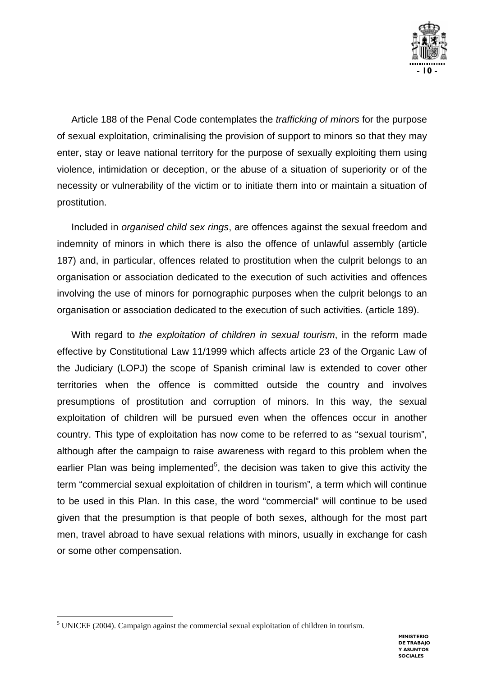

Article 188 of the Penal Code contemplates the *trafficking of minors* for the purpose of sexual exploitation, criminalising the provision of support to minors so that they may enter, stay or leave national territory for the purpose of sexually exploiting them using violence, intimidation or deception, or the abuse of a situation of superiority or of the necessity or vulnerability of the victim or to initiate them into or maintain a situation of prostitution.

Included in *organised child sex rings*, are offences against the sexual freedom and indemnity of minors in which there is also the offence of unlawful assembly (article 187) and, in particular, offences related to prostitution when the culprit belongs to an organisation or association dedicated to the execution of such activities and offences involving the use of minors for pornographic purposes when the culprit belongs to an organisation or association dedicated to the execution of such activities. (article 189).

With regard to *the exploitation of children in sexual tourism*, in the reform made effective by Constitutional Law 11/1999 which affects article 23 of the Organic Law of the Judiciary (LOPJ) the scope of Spanish criminal law is extended to cover other territories when the offence is committed outside the country and involves presumptions of prostitution and corruption of minors. In this way, the sexual exploitation of children will be pursued even when the offences occur in another country. This type of exploitation has now come to be referred to as "sexual tourism", although after the campaign to raise awareness with regard to this problem when the earlier Plan was being implemented<sup>5</sup>, the decision was taken to give this activity the term "commercial sexual exploitation of children in tourism", a term which will continue to be used in this Plan. In this case, the word "commercial" will continue to be used given that the presumption is that people of both sexes, although for the most part men, travel abroad to have sexual relations with minors, usually in exchange for cash or some other compensation.

l

 $<sup>5</sup>$  UNICEF (2004). Campaign against the commercial sexual exploitation of children in tourism.</sup>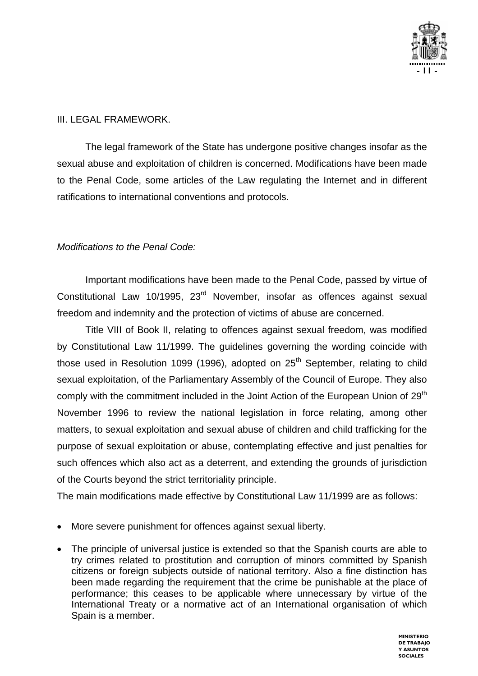

#### III. LEGAL FRAMEWORK.

The legal framework of the State has undergone positive changes insofar as the sexual abuse and exploitation of children is concerned. Modifications have been made to the Penal Code, some articles of the Law regulating the Internet and in different ratifications to international conventions and protocols.

#### *Modifications to the Penal Code:*

Important modifications have been made to the Penal Code, passed by virtue of Constitutional Law 10/1995, 23<sup>rd</sup> November, insofar as offences against sexual freedom and indemnity and the protection of victims of abuse are concerned.

Title VIII of Book II, relating to offences against sexual freedom, was modified by Constitutional Law 11/1999. The guidelines governing the wording coincide with those used in Resolution 1099 (1996), adopted on  $25<sup>th</sup>$  September, relating to child sexual exploitation, of the Parliamentary Assembly of the Council of Europe. They also comply with the commitment included in the Joint Action of the European Union of 29<sup>th</sup> November 1996 to review the national legislation in force relating, among other matters, to sexual exploitation and sexual abuse of children and child trafficking for the purpose of sexual exploitation or abuse, contemplating effective and just penalties for such offences which also act as a deterrent, and extending the grounds of jurisdiction of the Courts beyond the strict territoriality principle.

The main modifications made effective by Constitutional Law 11/1999 are as follows:

- More severe punishment for offences against sexual liberty.
- The principle of universal justice is extended so that the Spanish courts are able to try crimes related to prostitution and corruption of minors committed by Spanish citizens or foreign subjects outside of national territory. Also a fine distinction has been made regarding the requirement that the crime be punishable at the place of performance; this ceases to be applicable where unnecessary by virtue of the International Treaty or a normative act of an International organisation of which Spain is a member.

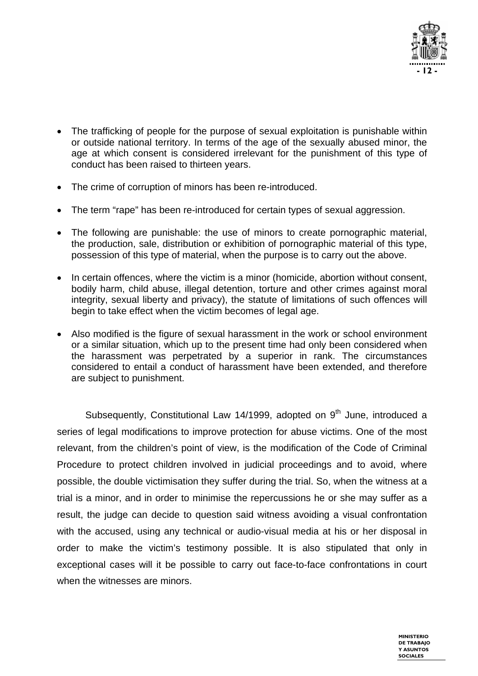

- The trafficking of people for the purpose of sexual exploitation is punishable within or outside national territory. In terms of the age of the sexually abused minor, the age at which consent is considered irrelevant for the punishment of this type of conduct has been raised to thirteen years.
- The crime of corruption of minors has been re-introduced.
- The term "rape" has been re-introduced for certain types of sexual aggression.
- The following are punishable: the use of minors to create pornographic material, the production, sale, distribution or exhibition of pornographic material of this type, possession of this type of material, when the purpose is to carry out the above.
- In certain offences, where the victim is a minor (homicide, abortion without consent, bodily harm, child abuse, illegal detention, torture and other crimes against moral integrity, sexual liberty and privacy), the statute of limitations of such offences will begin to take effect when the victim becomes of legal age.
- Also modified is the figure of sexual harassment in the work or school environment or a similar situation, which up to the present time had only been considered when the harassment was perpetrated by a superior in rank. The circumstances considered to entail a conduct of harassment have been extended, and therefore are subject to punishment.

Subsequently, Constitutional Law 14/1999, adopted on 9<sup>th</sup> June, introduced a series of legal modifications to improve protection for abuse victims. One of the most relevant, from the children's point of view, is the modification of the Code of Criminal Procedure to protect children involved in judicial proceedings and to avoid, where possible, the double victimisation they suffer during the trial. So, when the witness at a trial is a minor, and in order to minimise the repercussions he or she may suffer as a result, the judge can decide to question said witness avoiding a visual confrontation with the accused, using any technical or audio-visual media at his or her disposal in order to make the victim's testimony possible. It is also stipulated that only in exceptional cases will it be possible to carry out face-to-face confrontations in court when the witnesses are minors.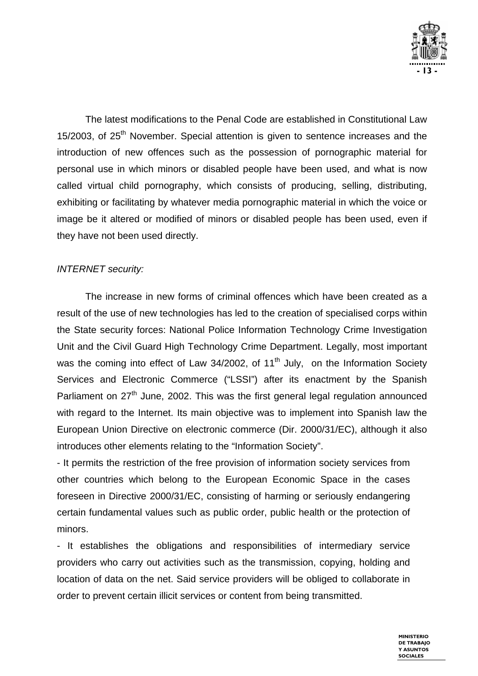

The latest modifications to the Penal Code are established in Constitutional Law 15/2003, of  $25<sup>th</sup>$  November. Special attention is given to sentence increases and the introduction of new offences such as the possession of pornographic material for personal use in which minors or disabled people have been used, and what is now called virtual child pornography, which consists of producing, selling, distributing, exhibiting or facilitating by whatever media pornographic material in which the voice or image be it altered or modified of minors or disabled people has been used, even if they have not been used directly.

#### *INTERNET security:*

The increase in new forms of criminal offences which have been created as a result of the use of new technologies has led to the creation of specialised corps within the State security forces: National Police Information Technology Crime Investigation Unit and the Civil Guard High Technology Crime Department. Legally, most important was the coming into effect of Law 34/2002, of  $11<sup>th</sup>$  July, on the Information Society Services and Electronic Commerce ("LSSI") after its enactment by the Spanish Parliament on 27<sup>th</sup> June, 2002. This was the first general legal regulation announced with regard to the Internet. Its main objective was to implement into Spanish law the European Union Directive on electronic commerce (Dir. 2000/31/EC), although it also introduces other elements relating to the "Information Society".

- It permits the restriction of the free provision of information society services from other countries which belong to the European Economic Space in the cases foreseen in Directive 2000/31/EC, consisting of harming or seriously endangering certain fundamental values such as public order, public health or the protection of minors.

- It establishes the obligations and responsibilities of intermediary service providers who carry out activities such as the transmission, copying, holding and location of data on the net. Said service providers will be obliged to collaborate in order to prevent certain illicit services or content from being transmitted.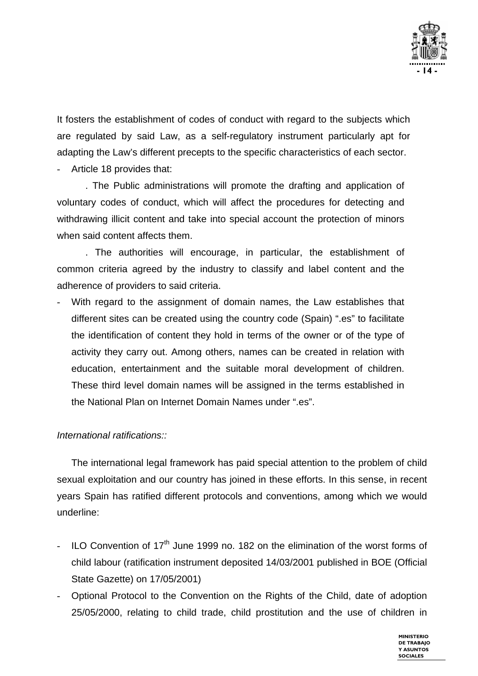

It fosters the establishment of codes of conduct with regard to the subjects which are regulated by said Law, as a self-regulatory instrument particularly apt for adapting the Law's different precepts to the specific characteristics of each sector.

Article 18 provides that:

. The Public administrations will promote the drafting and application of voluntary codes of conduct, which will affect the procedures for detecting and withdrawing illicit content and take into special account the protection of minors when said content affects them.

. The authorities will encourage, in particular, the establishment of common criteria agreed by the industry to classify and label content and the adherence of providers to said criteria.

With regard to the assignment of domain names, the Law establishes that different sites can be created using the country code (Spain) ".es" to facilitate the identification of content they hold in terms of the owner or of the type of activity they carry out. Among others, names can be created in relation with education, entertainment and the suitable moral development of children. These third level domain names will be assigned in the terms established in the National Plan on Internet Domain Names under ".es".

#### *International ratifications::*

The international legal framework has paid special attention to the problem of child sexual exploitation and our country has joined in these efforts. In this sense, in recent years Spain has ratified different protocols and conventions, among which we would underline:

- ILO Convention of  $17<sup>th</sup>$  June 1999 no. 182 on the elimination of the worst forms of child labour (ratification instrument deposited 14/03/2001 published in BOE (Official State Gazette) on 17/05/2001)
- Optional Protocol to the Convention on the Rights of the Child, date of adoption 25/05/2000, relating to child trade, child prostitution and the use of children in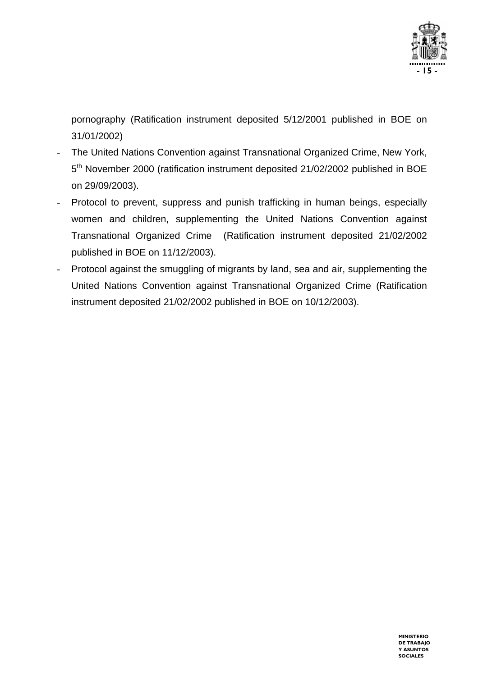

pornography (Ratification instrument deposited 5/12/2001 published in BOE on 31/01/2002)

- The United Nations Convention against Transnational Organized Crime, New York, 5<sup>th</sup> November 2000 (ratification instrument deposited 21/02/2002 published in BOE on 29/09/2003).
- Protocol to prevent, suppress and punish trafficking in human beings, especially women and children, supplementing the United Nations Convention against Transnational Organized Crime (Ratification instrument deposited 21/02/2002 published in BOE on 11/12/2003).
- Protocol against the smuggling of migrants by land, sea and air, supplementing the United Nations Convention against Transnational Organized Crime (Ratification instrument deposited 21/02/2002 published in BOE on 10/12/2003).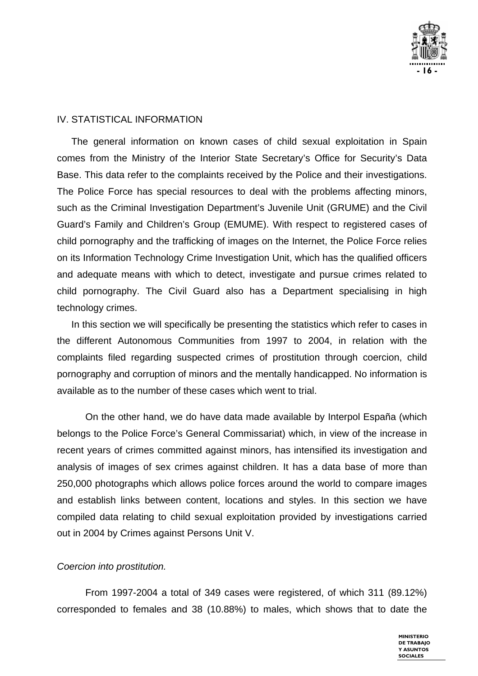

#### IV. STATISTICAL INFORMATION

The general information on known cases of child sexual exploitation in Spain comes from the Ministry of the Interior State Secretary's Office for Security's Data Base. This data refer to the complaints received by the Police and their investigations. The Police Force has special resources to deal with the problems affecting minors, such as the Criminal Investigation Department's Juvenile Unit (GRUME) and the Civil Guard's Family and Children's Group (EMUME). With respect to registered cases of child pornography and the trafficking of images on the Internet, the Police Force relies on its Information Technology Crime Investigation Unit, which has the qualified officers and adequate means with which to detect, investigate and pursue crimes related to child pornography. The Civil Guard also has a Department specialising in high technology crimes.

In this section we will specifically be presenting the statistics which refer to cases in the different Autonomous Communities from 1997 to 2004, in relation with the complaints filed regarding suspected crimes of prostitution through coercion, child pornography and corruption of minors and the mentally handicapped. No information is available as to the number of these cases which went to trial.

On the other hand, we do have data made available by Interpol España (which belongs to the Police Force's General Commissariat) which, in view of the increase in recent years of crimes committed against minors, has intensified its investigation and analysis of images of sex crimes against children. It has a data base of more than 250,000 photographs which allows police forces around the world to compare images and establish links between content, locations and styles. In this section we have compiled data relating to child sexual exploitation provided by investigations carried out in 2004 by Crimes against Persons Unit V.

#### *Coercion into prostitution.*

From 1997-2004 a total of 349 cases were registered, of which 311 (89.12%) corresponded to females and 38 (10.88%) to males, which shows that to date the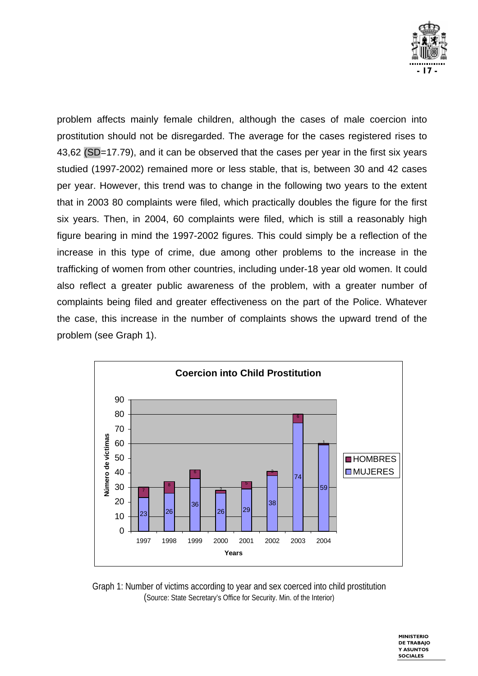

problem affects mainly female children, although the cases of male coercion into prostitution should not be disregarded. The average for the cases registered rises to 43,62 (SD=17.79), and it can be observed that the cases per year in the first six years studied (1997-2002) remained more or less stable, that is, between 30 and 42 cases per year. However, this trend was to change in the following two years to the extent that in 2003 80 complaints were filed, which practically doubles the figure for the first six years. Then, in 2004, 60 complaints were filed, which is still a reasonably high figure bearing in mind the 1997-2002 figures. This could simply be a reflection of the increase in this type of crime, due among other problems to the increase in the trafficking of women from other countries, including under-18 year old women. It could also reflect a greater public awareness of the problem, with a greater number of complaints being filed and greater effectiveness on the part of the Police. Whatever the case, this increase in the number of complaints shows the upward trend of the problem (see Graph 1).



Graph 1: Number of victims according to year and sex coerced into child prostitution (Source: State Secretary's Office for Security. Min. of the Interior)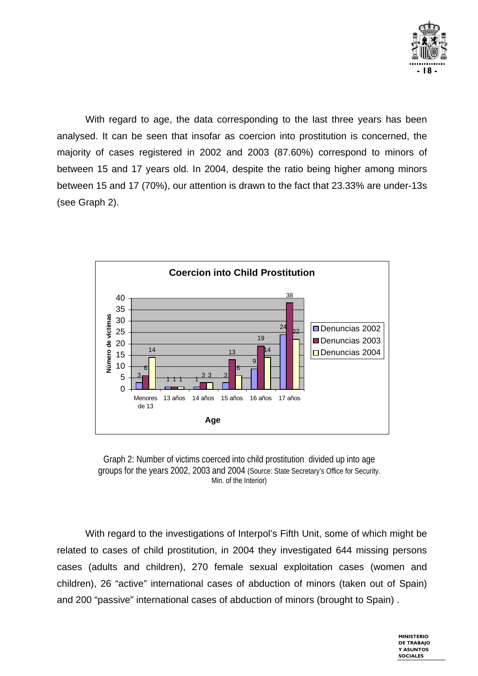

With regard to age, the data corresponding to the last three years has been analysed. It can be seen that insofar as coercion into prostitution is concerned, the majority of cases registered in 2002 and 2003 (87.60%) correspond to minors of between 15 and 17 years old. In 2004, despite the ratio being higher among minors between 15 and 17 (70%), our attention is drawn to the fact that 23.33% are under-13s (see Graph 2).



Graph 2: Number of victims coerced into child prostitution divided up into age groups for the years 2002, 2003 and 2004 (Source: State Secretary's Office for Security. Min. of the Interior)

With regard to the investigations of Interpol's Fifth Unit, some of which might be related to cases of child prostitution, in 2004 they investigated 644 missing persons cases (adults and children), 270 female sexual exploitation cases (women and children), 26 "active" international cases of abduction of minors (taken out of Spain) and 200 "passive" international cases of abduction of minors (brought to Spain) .

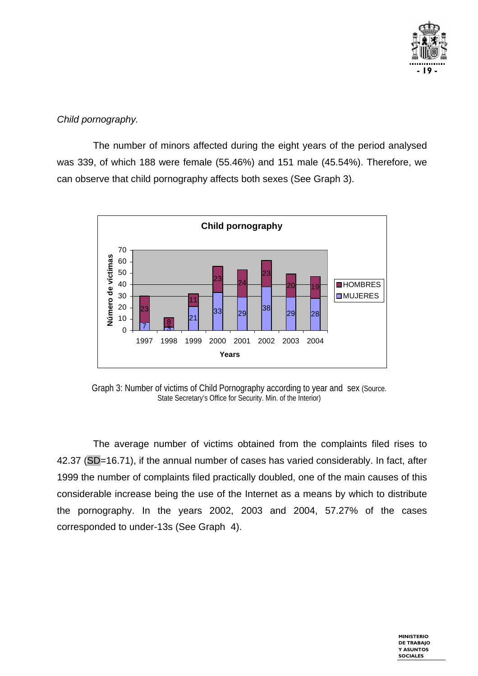

#### *Child pornography.*

The number of minors affected during the eight years of the period analysed was 339, of which 188 were female (55.46%) and 151 male (45.54%). Therefore, we can observe that child pornography affects both sexes (See Graph 3).



Graph 3: Number of victims of Child Pornography according to year and sex (Source. State Secretary's Office for Security. Min. of the Interior)

The average number of victims obtained from the complaints filed rises to 42.37 (SD=16.71), if the annual number of cases has varied considerably. In fact, after 1999 the number of complaints filed practically doubled, one of the main causes of this considerable increase being the use of the Internet as a means by which to distribute the pornography. In the years 2002, 2003 and 2004, 57.27% of the cases corresponded to under-13s (See Graph 4).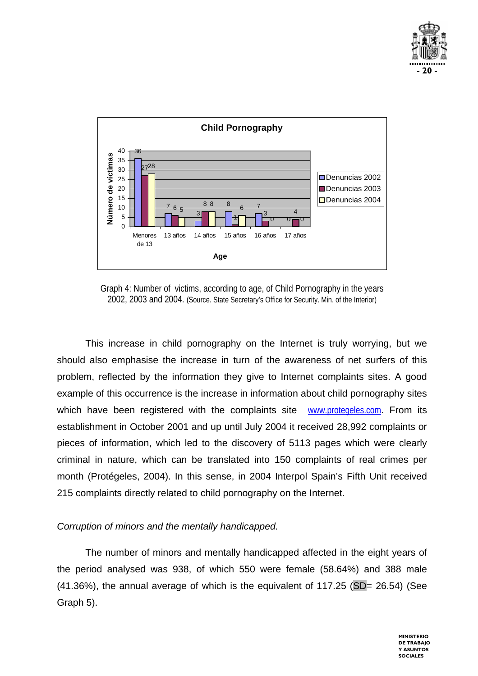



Graph 4: Number of victims, according to age, of Child Pornography in the years 2002, 2003 and 2004. (Source. State Secretary's Office for Security. Min. of the Interior)

This increase in child pornography on the Internet is truly worrying, but we should also emphasise the increase in turn of the awareness of net surfers of this problem, reflected by the information they give to Internet complaints sites. A good example of this occurrence is the increase in information about child pornography sites which have been registered with the complaints site www.protegeles.com. From its establishment in October 2001 and up until July 2004 it received 28,992 complaints or pieces of information, which led to the discovery of 5113 pages which were clearly criminal in nature, which can be translated into 150 complaints of real crimes per month (Protégeles, 2004). In this sense, in 2004 Interpol Spain's Fifth Unit received 215 complaints directly related to child pornography on the Internet.

#### *Corruption of minors and the mentally handicapped.*

The number of minors and mentally handicapped affected in the eight years of the period analysed was 938, of which 550 were female (58.64%) and 388 male  $(41.36\%)$ , the annual average of which is the equivalent of 117.25 (SD= 26.54) (See Graph 5).

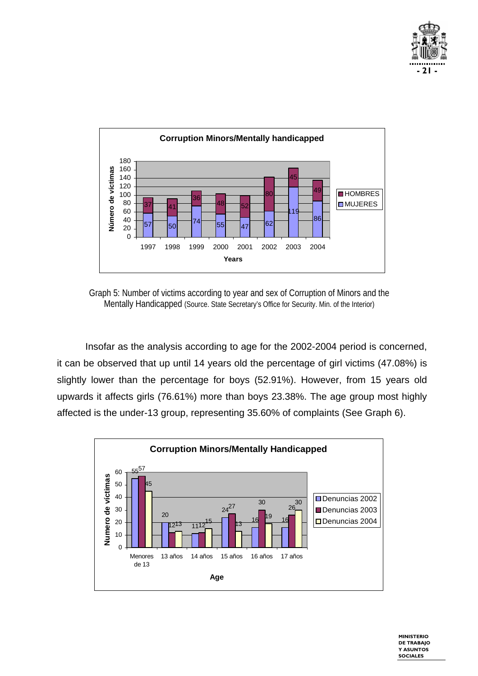



Graph 5: Number of victims according to year and sex of Corruption of Minors and the Mentally Handicapped (Source. State Secretary's Office for Security. Min. of the Interior)

Insofar as the analysis according to age for the 2002-2004 period is concerned, it can be observed that up until 14 years old the percentage of girl victims (47.08%) is slightly lower than the percentage for boys (52.91%). However, from 15 years old upwards it affects girls (76.61%) more than boys 23.38%. The age group most highly affected is the under-13 group, representing 35.60% of complaints (See Graph 6).

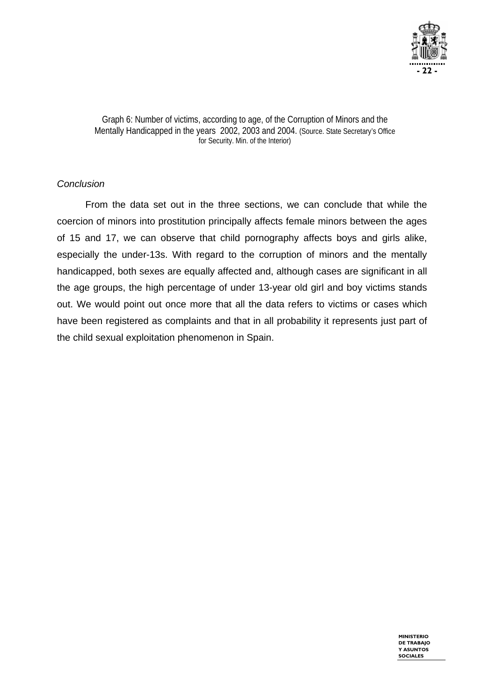

Graph 6: Number of victims, according to age, of the Corruption of Minors and the Mentally Handicapped in the years 2002, 2003 and 2004. (Source. State Secretary's Office for Security. Min. of the Interior)

#### *Conclusion*

From the data set out in the three sections, we can conclude that while the coercion of minors into prostitution principally affects female minors between the ages of 15 and 17, we can observe that child pornography affects boys and girls alike, especially the under-13s. With regard to the corruption of minors and the mentally handicapped, both sexes are equally affected and, although cases are significant in all the age groups, the high percentage of under 13-year old girl and boy victims stands out. We would point out once more that all the data refers to victims or cases which have been registered as complaints and that in all probability it represents just part of the child sexual exploitation phenomenon in Spain.

> **MINISTERIO DE TRABAJO Y ASUNTOS SOCIALES**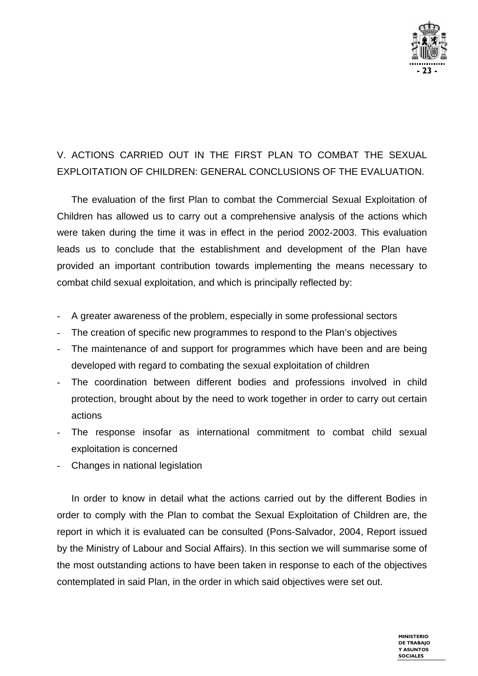

## V. ACTIONS CARRIED OUT IN THE FIRST PLAN TO COMBAT THE SEXUAL EXPLOITATION OF CHILDREN: GENERAL CONCLUSIONS OF THE EVALUATION.

The evaluation of the first Plan to combat the Commercial Sexual Exploitation of Children has allowed us to carry out a comprehensive analysis of the actions which were taken during the time it was in effect in the period 2002-2003. This evaluation leads us to conclude that the establishment and development of the Plan have provided an important contribution towards implementing the means necessary to combat child sexual exploitation, and which is principally reflected by:

- A greater awareness of the problem, especially in some professional sectors
- The creation of specific new programmes to respond to the Plan's objectives
- The maintenance of and support for programmes which have been and are being developed with regard to combating the sexual exploitation of children
- The coordination between different bodies and professions involved in child protection, brought about by the need to work together in order to carry out certain actions
- The response insofar as international commitment to combat child sexual exploitation is concerned
- Changes in national legislation

In order to know in detail what the actions carried out by the different Bodies in order to comply with the Plan to combat the Sexual Exploitation of Children are, the report in which it is evaluated can be consulted (Pons-Salvador, 2004, Report issued by the Ministry of Labour and Social Affairs). In this section we will summarise some of the most outstanding actions to have been taken in response to each of the objectives contemplated in said Plan, in the order in which said objectives were set out.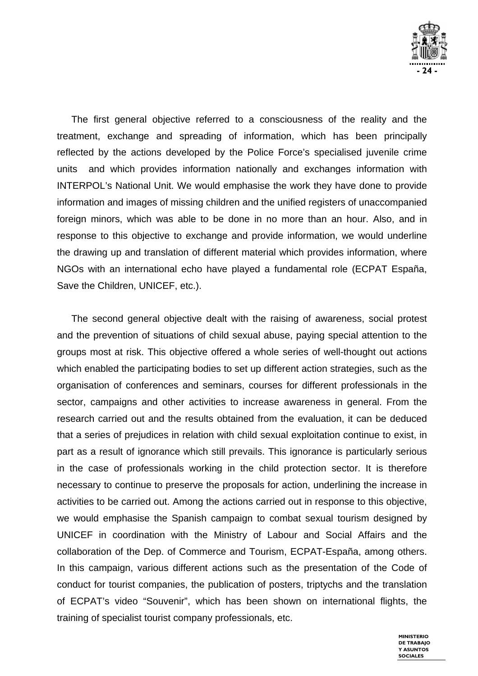

The first general objective referred to a consciousness of the reality and the treatment, exchange and spreading of information, which has been principally reflected by the actions developed by the Police Force's specialised juvenile crime units and which provides information nationally and exchanges information with INTERPOL's National Unit. We would emphasise the work they have done to provide information and images of missing children and the unified registers of unaccompanied foreign minors, which was able to be done in no more than an hour. Also, and in response to this objective to exchange and provide information, we would underline the drawing up and translation of different material which provides information, where NGOs with an international echo have played a fundamental role (ECPAT España, Save the Children, UNICEF, etc.).

The second general objective dealt with the raising of awareness, social protest and the prevention of situations of child sexual abuse, paying special attention to the groups most at risk. This objective offered a whole series of well-thought out actions which enabled the participating bodies to set up different action strategies, such as the organisation of conferences and seminars, courses for different professionals in the sector, campaigns and other activities to increase awareness in general. From the research carried out and the results obtained from the evaluation, it can be deduced that a series of prejudices in relation with child sexual exploitation continue to exist, in part as a result of ignorance which still prevails. This ignorance is particularly serious in the case of professionals working in the child protection sector. It is therefore necessary to continue to preserve the proposals for action, underlining the increase in activities to be carried out. Among the actions carried out in response to this objective, we would emphasise the Spanish campaign to combat sexual tourism designed by UNICEF in coordination with the Ministry of Labour and Social Affairs and the collaboration of the Dep. of Commerce and Tourism, ECPAT-España, among others. In this campaign, various different actions such as the presentation of the Code of conduct for tourist companies, the publication of posters, triptychs and the translation of ECPAT's video "Souvenir", which has been shown on international flights, the training of specialist tourist company professionals, etc.

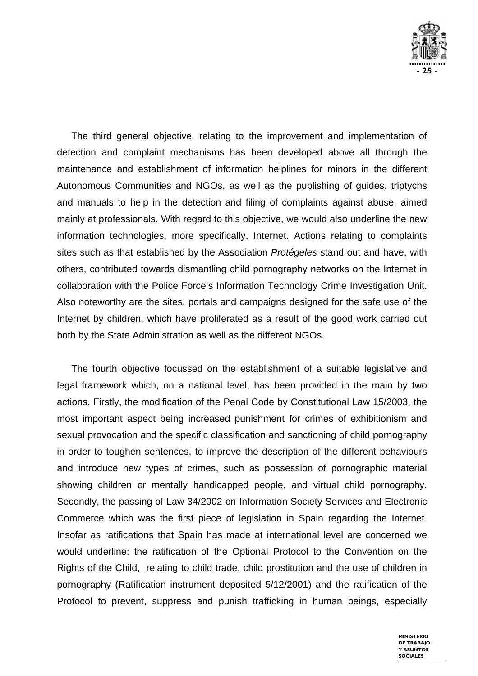

The third general objective, relating to the improvement and implementation of detection and complaint mechanisms has been developed above all through the maintenance and establishment of information helplines for minors in the different Autonomous Communities and NGOs, as well as the publishing of guides, triptychs and manuals to help in the detection and filing of complaints against abuse, aimed mainly at professionals. With regard to this objective, we would also underline the new information technologies, more specifically, Internet. Actions relating to complaints sites such as that established by the Association *Protégeles* stand out and have, with others, contributed towards dismantling child pornography networks on the Internet in collaboration with the Police Force's Information Technology Crime Investigation Unit. Also noteworthy are the sites, portals and campaigns designed for the safe use of the Internet by children, which have proliferated as a result of the good work carried out both by the State Administration as well as the different NGOs.

The fourth objective focussed on the establishment of a suitable legislative and legal framework which, on a national level, has been provided in the main by two actions. Firstly, the modification of the Penal Code by Constitutional Law 15/2003, the most important aspect being increased punishment for crimes of exhibitionism and sexual provocation and the specific classification and sanctioning of child pornography in order to toughen sentences, to improve the description of the different behaviours and introduce new types of crimes, such as possession of pornographic material showing children or mentally handicapped people, and virtual child pornography. Secondly, the passing of Law 34/2002 on Information Society Services and Electronic Commerce which was the first piece of legislation in Spain regarding the Internet. Insofar as ratifications that Spain has made at international level are concerned we would underline: the ratification of the Optional Protocol to the Convention on the Rights of the Child, relating to child trade, child prostitution and the use of children in pornography (Ratification instrument deposited 5/12/2001) and the ratification of the Protocol to prevent, suppress and punish trafficking in human beings, especially

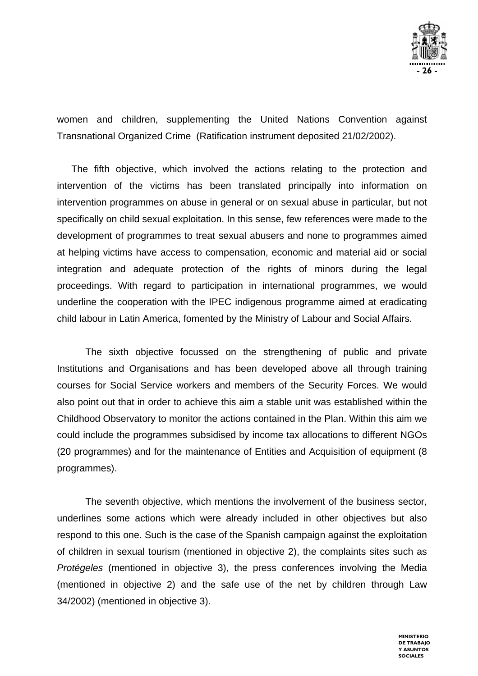

women and children, supplementing the United Nations Convention against Transnational Organized Crime (Ratification instrument deposited 21/02/2002).

The fifth objective, which involved the actions relating to the protection and intervention of the victims has been translated principally into information on intervention programmes on abuse in general or on sexual abuse in particular, but not specifically on child sexual exploitation. In this sense, few references were made to the development of programmes to treat sexual abusers and none to programmes aimed at helping victims have access to compensation, economic and material aid or social integration and adequate protection of the rights of minors during the legal proceedings. With regard to participation in international programmes, we would underline the cooperation with the IPEC indigenous programme aimed at eradicating child labour in Latin America, fomented by the Ministry of Labour and Social Affairs.

The sixth objective focussed on the strengthening of public and private Institutions and Organisations and has been developed above all through training courses for Social Service workers and members of the Security Forces. We would also point out that in order to achieve this aim a stable unit was established within the Childhood Observatory to monitor the actions contained in the Plan. Within this aim we could include the programmes subsidised by income tax allocations to different NGOs (20 programmes) and for the maintenance of Entities and Acquisition of equipment (8 programmes).

The seventh objective, which mentions the involvement of the business sector, underlines some actions which were already included in other objectives but also respond to this one. Such is the case of the Spanish campaign against the exploitation of children in sexual tourism (mentioned in objective 2), the complaints sites such as *Protégeles* (mentioned in objective 3), the press conferences involving the Media (mentioned in objective 2) and the safe use of the net by children through Law 34/2002) (mentioned in objective 3).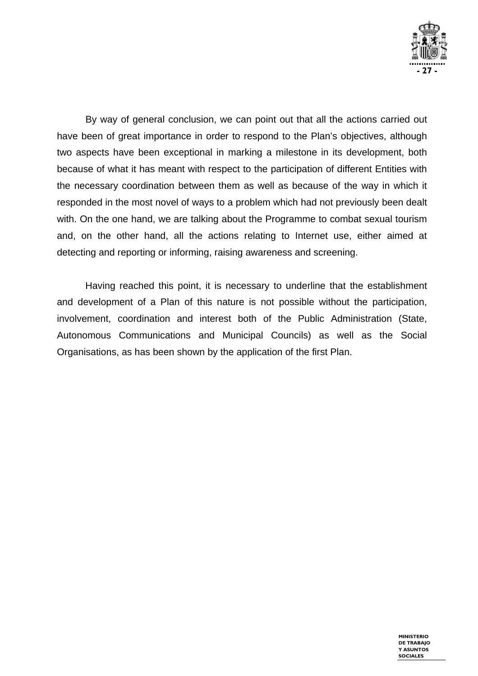

By way of general conclusion, we can point out that all the actions carried out have been of great importance in order to respond to the Plan's objectives, although two aspects have been exceptional in marking a milestone in its development, both because of what it has meant with respect to the participation of different Entities with the necessary coordination between them as well as because of the way in which it responded in the most novel of ways to a problem which had not previously been dealt with. On the one hand, we are talking about the Programme to combat sexual tourism and, on the other hand, all the actions relating to Internet use, either aimed at detecting and reporting or informing, raising awareness and screening.

Having reached this point, it is necessary to underline that the establishment and development of a Plan of this nature is not possible without the participation, involvement, coordination and interest both of the Public Administration (State, Autonomous Communications and Municipal Councils) as well as the Social Organisations, as has been shown by the application of the first Plan.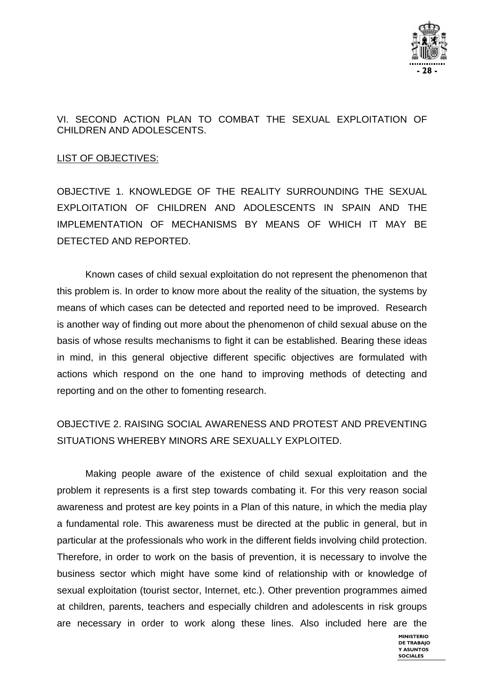

#### VI. SECOND ACTION PLAN TO COMBAT THE SEXUAL EXPLOITATION OF CHILDREN AND ADOLESCENTS.

#### LIST OF OBJECTIVES:

OBJECTIVE 1. KNOWLEDGE OF THE REALITY SURROUNDING THE SEXUAL EXPLOITATION OF CHILDREN AND ADOLESCENTS IN SPAIN AND THE IMPLEMENTATION OF MECHANISMS BY MEANS OF WHICH IT MAY BE DETECTED AND REPORTED.

 Known cases of child sexual exploitation do not represent the phenomenon that this problem is. In order to know more about the reality of the situation, the systems by means of which cases can be detected and reported need to be improved. Research is another way of finding out more about the phenomenon of child sexual abuse on the basis of whose results mechanisms to fight it can be established. Bearing these ideas in mind, in this general objective different specific objectives are formulated with actions which respond on the one hand to improving methods of detecting and reporting and on the other to fomenting research.

## OBJECTIVE 2. RAISING SOCIAL AWARENESS AND PROTEST AND PREVENTING SITUATIONS WHEREBY MINORS ARE SEXUALLY EXPLOITED.

 Making people aware of the existence of child sexual exploitation and the problem it represents is a first step towards combating it. For this very reason social awareness and protest are key points in a Plan of this nature, in which the media play a fundamental role. This awareness must be directed at the public in general, but in particular at the professionals who work in the different fields involving child protection. Therefore, in order to work on the basis of prevention, it is necessary to involve the business sector which might have some kind of relationship with or knowledge of sexual exploitation (tourist sector, Internet, etc.). Other prevention programmes aimed at children, parents, teachers and especially children and adolescents in risk groups are necessary in order to work along these lines. Also included here are the

> **MINISTERIO DE TRABAJO Y ASUNTOS SOCIALES**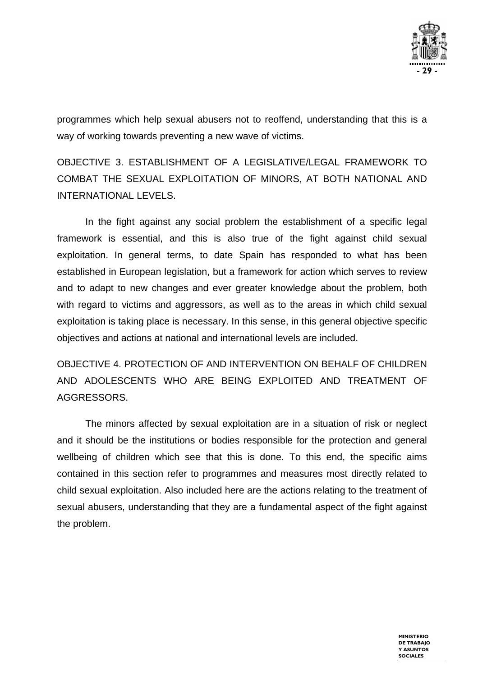

programmes which help sexual abusers not to reoffend, understanding that this is a way of working towards preventing a new wave of victims.

OBJECTIVE 3. ESTABLISHMENT OF A LEGISLATIVE/LEGAL FRAMEWORK TO COMBAT THE SEXUAL EXPLOITATION OF MINORS, AT BOTH NATIONAL AND INTERNATIONAL LEVELS.

 In the fight against any social problem the establishment of a specific legal framework is essential, and this is also true of the fight against child sexual exploitation. In general terms, to date Spain has responded to what has been established in European legislation, but a framework for action which serves to review and to adapt to new changes and ever greater knowledge about the problem, both with regard to victims and aggressors, as well as to the areas in which child sexual exploitation is taking place is necessary. In this sense, in this general objective specific objectives and actions at national and international levels are included.

OBJECTIVE 4. PROTECTION OF AND INTERVENTION ON BEHALF OF CHILDREN AND ADOLESCENTS WHO ARE BEING EXPLOITED AND TREATMENT OF AGGRESSORS.

The minors affected by sexual exploitation are in a situation of risk or neglect and it should be the institutions or bodies responsible for the protection and general wellbeing of children which see that this is done. To this end, the specific aims contained in this section refer to programmes and measures most directly related to child sexual exploitation. Also included here are the actions relating to the treatment of sexual abusers, understanding that they are a fundamental aspect of the fight against the problem.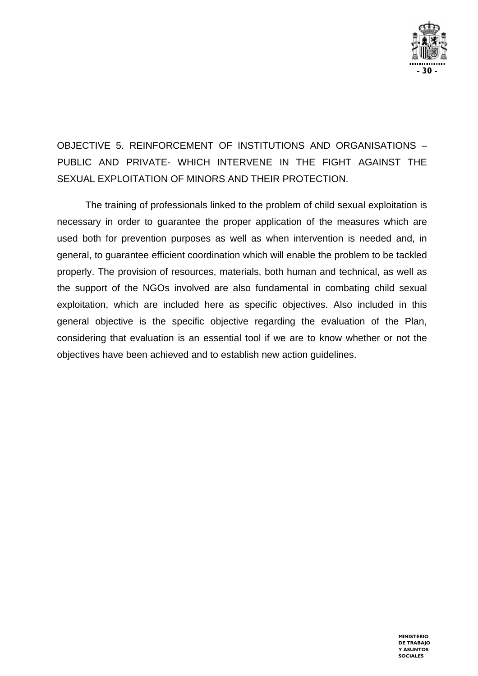

OBJECTIVE 5. REINFORCEMENT OF INSTITUTIONS AND ORGANISATIONS – PUBLIC AND PRIVATE- WHICH INTERVENE IN THE FIGHT AGAINST THE SEXUAL EXPLOITATION OF MINORS AND THEIR PROTECTION.

 The training of professionals linked to the problem of child sexual exploitation is necessary in order to guarantee the proper application of the measures which are used both for prevention purposes as well as when intervention is needed and, in general, to guarantee efficient coordination which will enable the problem to be tackled properly. The provision of resources, materials, both human and technical, as well as the support of the NGOs involved are also fundamental in combating child sexual exploitation, which are included here as specific objectives. Also included in this general objective is the specific objective regarding the evaluation of the Plan, considering that evaluation is an essential tool if we are to know whether or not the objectives have been achieved and to establish new action guidelines.

> **MINISTERIO DE TRABAJO Y ASUNTOS SOCIALES**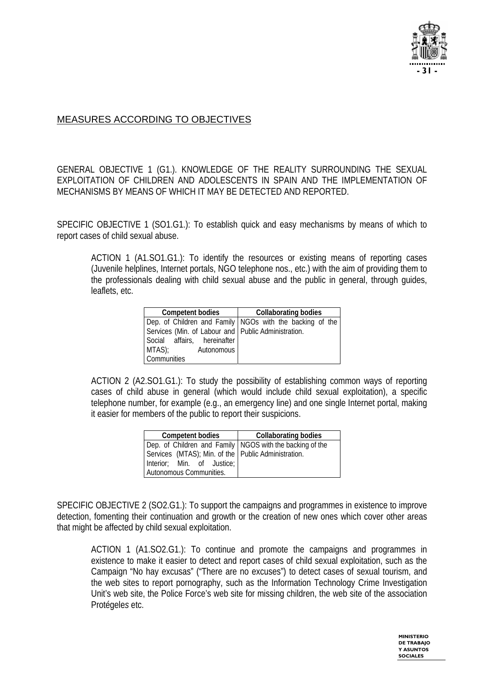

#### MEASURES ACCORDING TO OBJECTIVES

GENERAL OBJECTIVE 1 (G1.). KNOWLEDGE OF THE REALITY SURROUNDING THE SEXUAL EXPLOITATION OF CHILDREN AND ADOLESCENTS IN SPAIN AND THE IMPLEMENTATION OF MECHANISMS BY MEANS OF WHICH IT MAY BE DETECTED AND REPORTED.

SPECIFIC OBJECTIVE 1 (SO1.G1.): To establish quick and easy mechanisms by means of which to report cases of child sexual abuse.

ACTION 1 (A1.SO1.G1.): To identify the resources or existing means of reporting cases (Juvenile helplines, Internet portals, NGO telephone nos., etc.) with the aim of providing them to the professionals dealing with child sexual abuse and the public in general, through guides, leaflets, etc.

| <b>Competent bodies</b>                             | <b>Collaborating bodies</b>                              |
|-----------------------------------------------------|----------------------------------------------------------|
|                                                     | Dep. of Children and Family NGOs with the backing of the |
| Services (Min. of Labour and Public Administration. |                                                          |
| Social affairs, hereinafter                         |                                                          |
| $MTAS$ );<br>Autonomous                             |                                                          |
| Communities                                         |                                                          |

ACTION 2 (A2.SO1.G1.): To study the possibility of establishing common ways of reporting cases of child abuse in general (which would include child sexual exploitation), a specific telephone number, for example (e.g., an emergency line) and one single Internet portal, making it easier for members of the public to report their suspicions.

| <b>Competent bodies</b>                                    | <b>Collaborating bodies</b> |
|------------------------------------------------------------|-----------------------------|
| Dep. of Children and Family   NGOS with the backing of the |                             |
| Services (MTAS); Min. of the   Public Administration.      |                             |
| Interior; Min. of Justice;                                 |                             |
| Autonomous Communities.                                    |                             |

SPECIFIC OBJECTIVE 2 (SO2.G1.): To support the campaigns and programmes in existence to improve detection, fomenting their continuation and growth or the creation of new ones which cover other areas that might be affected by child sexual exploitation.

ACTION 1 (A1.SO2.G1.): To continue and promote the campaigns and programmes in existence to make it easier to detect and report cases of child sexual exploitation, such as the Campaign "No hay excusas" ("There are no excuses") to detect cases of sexual tourism, and the web sites to report pornography, such as the Information Technology Crime Investigation Unit's web site, the Police Force's web site for missing children, the web site of the association Protégele*s* etc.

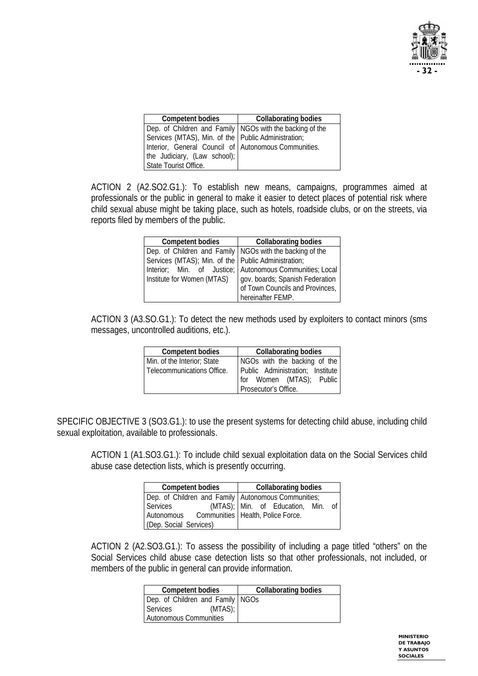

| <b>Competent bodies</b>                                    | <b>Collaborating bodies</b> |
|------------------------------------------------------------|-----------------------------|
| Dep. of Children and Family   NGOs with the backing of the |                             |
| Services (MTAS), Min. of the Public Administration;        |                             |
| Interior, General Council of Autonomous Communities.       |                             |
| the Judiciary, (Law school);                               |                             |
| State Tourist Office.                                      |                             |

ACTION 2 (A2.SO2.G1.): To establish new means, campaigns, programmes aimed at professionals or the public in general to make it easier to detect places of potential risk where child sexual abuse might be taking place, such as hotels, roadside clubs, or on the streets, via reports filed by members of the public.

| <b>Competent bodies</b>                                    | <b>Collaborating bodies</b>                              |
|------------------------------------------------------------|----------------------------------------------------------|
| Dep. of Children and Family   NGOs with the backing of the |                                                          |
| Services (MTAS); Min. of the   Public Administration;      |                                                          |
|                                                            | Interior; Min. of Justice; Autonomous Communities; Local |
| Institute for Women (MTAS)                                 | gov. boards; Spanish Federation                          |
|                                                            | of Town Councils and Provinces,                          |
|                                                            | hereinafter FEMP.                                        |

ACTION 3 (A3.SO.G1.): To detect the new methods used by exploiters to contact minors (sms messages, uncontrolled auditions, etc.).

| <b>Competent bodies</b>     | <b>Collaborating bodies</b>      |
|-----------------------------|----------------------------------|
| Min. of the Interior; State | NGOs with the backing of the     |
| Telecommunications Office.  | Public Administration; Institute |
|                             | for Women (MTAS); Public         |
|                             | Prosecutor's Office.             |

SPECIFIC OBJECTIVE 3 (SO3.G1.): to use the present systems for detecting child abuse, including child sexual exploitation, available to professionals.

ACTION 1 (A1.SO3.G1.): To include child sexual exploitation data on the Social Services child abuse case detection lists, which is presently occurring.

| <b>Competent bodies</b>                               |  |  | <b>Collaborating bodies</b>     |                 |
|-------------------------------------------------------|--|--|---------------------------------|-----------------|
| Dep. of Children and Family   Autonomous Communities; |  |  |                                 |                 |
| Services                                              |  |  | (MTAS); Min. of Education, Min. | of <sub>1</sub> |
| Autonomous Communities   Health, Police Force.        |  |  |                                 |                 |
| (Dep. Social Services)                                |  |  |                                 |                 |

ACTION 2 (A2.SO3.G1.): To assess the possibility of including a page titled "others" on the Social Services child abuse case detection lists so that other professionals, not included, or members of the public in general can provide information.

| <b>Competent bodies</b>            | <b>Collaborating bodies</b> |
|------------------------------------|-----------------------------|
| Dep. of Children and Family   NGOs |                             |
| $(MTAS)$ ;<br>Services             |                             |
| Autonomous Communities             |                             |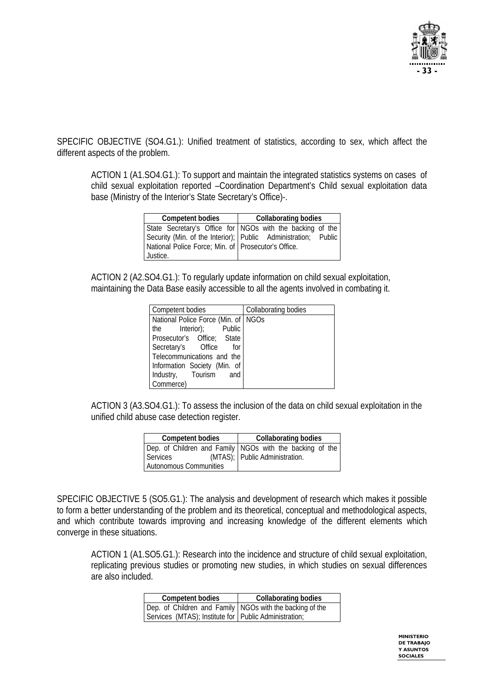

SPECIFIC OBJECTIVE (SO4.G1.): Unified treatment of statistics, according to sex, which affect the different aspects of the problem.

ACTION 1 (A1.SO4.G1.): To support and maintain the integrated statistics systems on cases of child sexual exploitation reported –Coordination Department's Child sexual exploitation data base (Ministry of the Interior's State Secretary's Office)-.

| <b>Competent bodies</b>                               | <b>Collaborating bodies</b>                                      |  |
|-------------------------------------------------------|------------------------------------------------------------------|--|
|                                                       | State Secretary's Office for NGOs with the backing of the        |  |
|                                                       | Security (Min. of the Interior);   Public Administration; Public |  |
| National Police Force; Min. of   Prosecutor's Office. |                                                                  |  |
| Justice.                                              |                                                                  |  |

ACTION 2 (A2.SO4.G1.): To regularly update information on child sexual exploitation, maintaining the Data Base easily accessible to all the agents involved in combating it.

| Competent bodies                      | Collaborating bodies |
|---------------------------------------|----------------------|
| National Police Force (Min. of   NGOs |                      |
| the Interior); Public                 |                      |
| Prosecutor's Office; State            |                      |
| Secretary's Office<br>for             |                      |
| Telecommunications and the            |                      |
| Information Society (Min. of          |                      |
| Industry, Tourism<br>and              |                      |
| Commerce)                             |                      |

ACTION 3 (A3.SO4.G1.): To assess the inclusion of the data on child sexual exploitation in the unified child abuse case detection register.

| <b>Competent bodies</b> | <b>Collaborating bodies</b>                                                                |
|-------------------------|--------------------------------------------------------------------------------------------|
| Services                | Dep. of Children and Family NGOs with the backing of the<br>(MTAS); Public Administration. |
| Autonomous Communities  |                                                                                            |

SPECIFIC OBJECTIVE 5 (SO5.G1.): The analysis and development of research which makes it possible to form a better understanding of the problem and its theoretical, conceptual and methodological aspects, and which contribute towards improving and increasing knowledge of the different elements which converge in these situations.

ACTION 1 (A1.SO5.G1.): Research into the incidence and structure of child sexual exploitation, replicating previous studies or promoting new studies, in which studies on sexual differences are also included.

| <b>Competent bodies</b>                                    | <b>Collaborating bodies</b> |
|------------------------------------------------------------|-----------------------------|
| Dep. of Children and Family   NGOs with the backing of the |                             |
| Services (MTAS); Institute for Public Administration;      |                             |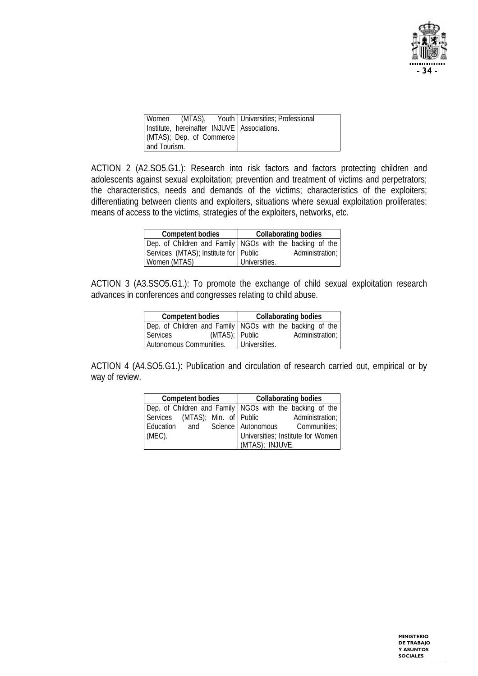

|              |                          | Women (MTAS), Youth Universities; Professional |
|--------------|--------------------------|------------------------------------------------|
|              |                          | Institute, hereinafter INJUVE Associations.    |
|              | (MTAS); Dep. of Commerce |                                                |
| and Tourism. |                          |                                                |

ACTION 2 (A2.SO5.G1.): Research into risk factors and factors protecting children and adolescents against sexual exploitation; prevention and treatment of victims and perpetrators; the characteristics, needs and demands of the victims; characteristics of the exploiters; differentiating between clients and exploiters, situations where sexual exploitation proliferates: means of access to the victims, strategies of the exploiters, networks, etc.

| <b>Competent bodies</b>               | <b>Collaborating bodies</b>                              |
|---------------------------------------|----------------------------------------------------------|
|                                       | Dep. of Children and Family NGOs with the backing of the |
| Services (MTAS); Institute for Public | Administration;                                          |
| Women (MTAS)                          | Universities.                                            |

ACTION 3 (A3.SSO5.G1.): To promote the exchange of child sexual exploitation research advances in conferences and congresses relating to child abuse.

| <b>Competent bodies</b>                                    |               | <b>Collaborating bodies</b> |
|------------------------------------------------------------|---------------|-----------------------------|
| Dep. of Children and Family   NGOs with the backing of the |               |                             |
| (MTAS); Public<br><b>Services</b>                          |               | Administration;             |
| Autonomous Communities.                                    | Universities. |                             |

ACTION 4 (A4.SO5.G1.): Publication and circulation of research carried out, empirical or by way of review.

| <b>Competent bodies</b>                                  |  | <b>Collaborating bodies</b> |                 |                                                 |
|----------------------------------------------------------|--|-----------------------------|-----------------|-------------------------------------------------|
| Dep. of Children and Family NGOs with the backing of the |  |                             |                 |                                                 |
| Services (MTAS); Min. of Public                          |  |                             |                 | Administration;                                 |
|                                                          |  |                             |                 | Education and Science   Autonomous Communities; |
| $(MEC)$ .                                                |  |                             |                 | Universities; Institute for Women               |
|                                                          |  |                             | (MTAS); INJUVE. |                                                 |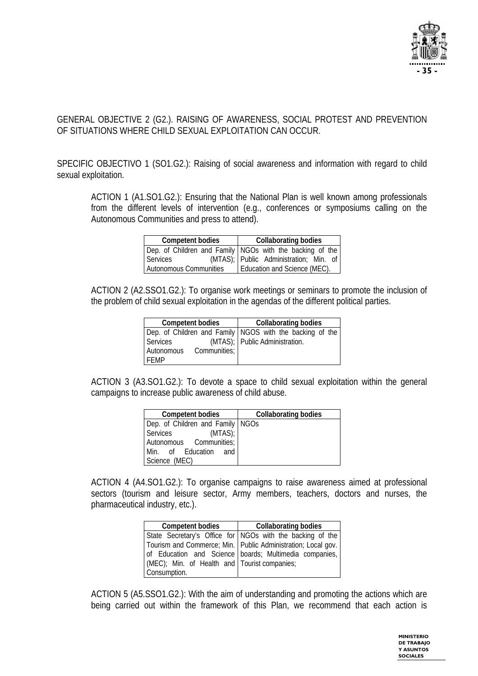

#### GENERAL OBJECTIVE 2 (G2.). RAISING OF AWARENESS, SOCIAL PROTEST AND PREVENTION OF SITUATIONS WHERE CHILD SEXUAL EXPLOITATION CAN OCCUR.

SPECIFIC OBJECTIVO 1 (SO1.G2.): Raising of social awareness and information with regard to child sexual exploitation.

ACTION 1 (A1.SO1.G2.): Ensuring that the National Plan is well known among professionals from the different levels of intervention (e.g., conferences or symposiums calling on the Autonomous Communities and press to attend).

| <b>Competent bodies</b> | <b>Collaborating bodies</b>                                |
|-------------------------|------------------------------------------------------------|
|                         | Dep. of Children and Family   NGOs with the backing of the |
| Services                | (MTAS); Public Administration; Min. of                     |
| Autonomous Communities  | Education and Science (MEC).                               |

ACTION 2 (A2.SSO1.G2.): To organise work meetings or seminars to promote the inclusion of the problem of child sexual exploitation in the agendas of the different political parties.

| <b>Competent bodies</b> |              | <b>Collaborating bodies</b>                                |
|-------------------------|--------------|------------------------------------------------------------|
|                         |              | Dep. of Children and Family   NGOS with the backing of the |
| Services                |              | (MTAS); Public Administration.                             |
| Autonomous              | Communities; |                                                            |
| FFMP                    |              |                                                            |

ACTION 3 (A3.SO1.G2.): To devote a space to child sexual exploitation within the general campaigns to increase public awareness of child abuse.

| <b>Competent bodies</b>          | <b>Collaborating bodies</b> |
|----------------------------------|-----------------------------|
| Dep. of Children and Family NGOs |                             |
| Services<br>$(MTAS)$ ;           |                             |
| Autonomous Communities;          |                             |
| Min. of Education and            |                             |
| Science (MEC)                    |                             |

ACTION 4 (A4.SO1.G2.): To organise campaigns to raise awareness aimed at professional sectors (tourism and leisure sector, Army members, teachers, doctors and nurses, the pharmaceutical industry, etc.).

| <b>Competent bodies</b>                      | <b>Collaborating bodies</b>                                    |
|----------------------------------------------|----------------------------------------------------------------|
|                                              | State Secretary's Office for NGOs with the backing of the      |
|                                              | Tourism and Commerce; Min.   Public Administration; Local gov. |
|                                              | of Education and Science boards; Multimedia companies,         |
| (MEC); Min. of Health and Tourist companies; |                                                                |
| Consumption.                                 |                                                                |

ACTION 5 (A5.SSO1.G2.): With the aim of understanding and promoting the actions which are being carried out within the framework of this Plan, we recommend that each action is

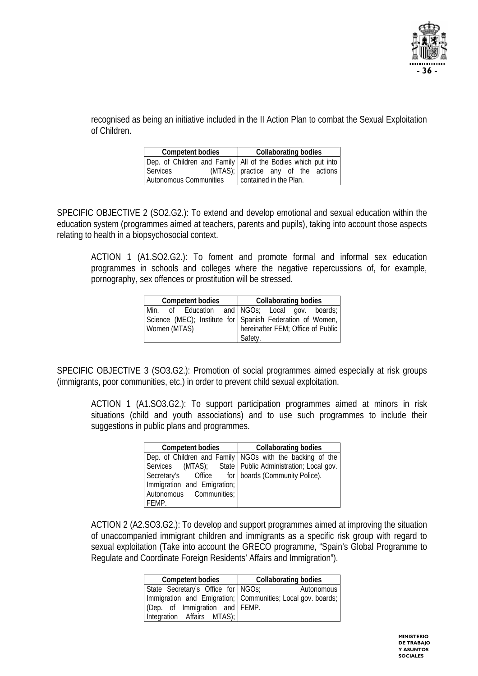

recognised as being an initiative included in the II Action Plan to combat the Sexual Exploitation of Children.

| <b>Competent bodies</b> | <b>Collaborating bodies</b>                                    |
|-------------------------|----------------------------------------------------------------|
|                         | Dep. of Children and Family   All of the Bodies which put into |
| Services                | (MTAS); practice any of the actions                            |
| Autonomous Communities  | contained in the Plan.                                         |

SPECIFIC OBJECTIVE 2 (SO2.G2.): To extend and develop emotional and sexual education within the education system (programmes aimed at teachers, parents and pupils), taking into account those aspects relating to health in a biopsychosocial context.

ACTION 1 (A1.SO2.G2.): To foment and promote formal and informal sex education programmes in schools and colleges where the negative repercussions of, for example, pornography, sex offences or prostitution will be stressed.

| <b>Competent bodies</b> | <b>Collaborating bodies</b>                               |
|-------------------------|-----------------------------------------------------------|
|                         | Min. of Education and NGOs; Local gov. boards;            |
|                         | Science (MEC); Institute for Spanish Federation of Women, |
| Women (MTAS)            | hereinafter FEM; Office of Public                         |
|                         | Safety.                                                   |

SPECIFIC OBJECTIVE 3 (SO3.G2.): Promotion of social programmes aimed especially at risk groups (immigrants, poor communities, etc.) in order to prevent child sexual exploitation.

ACTION 1 (A1.SO3.G2.): To support participation programmes aimed at minors in risk situations (child and youth associations) and to use such programmes to include their suggestions in public plans and programmes.

| <b>Competent bodies</b>                           | <b>Collaborating bodies</b>                                |
|---------------------------------------------------|------------------------------------------------------------|
|                                                   | Dep. of Children and Family NGOs with the backing of the   |
|                                                   | Services (MTAS); State   Public Administration; Local gov. |
| Secretary's Office for boards (Community Police). |                                                            |
| Immigration and Emigration;                       |                                                            |
| Autonomous Communities;                           |                                                            |
| FEMP.                                             |                                                            |

ACTION 2 (A2.SO3.G2.): To develop and support programmes aimed at improving the situation of unaccompanied immigrant children and immigrants as a specific risk group with regard to sexual exploitation (Take into account the GRECO programme, "Spain's Global Programme to Regulate and Coordinate Foreign Residents' Affairs and Immigration").

| <b>Competent bodies</b>            | <b>Collaborating bodies</b>                                 |
|------------------------------------|-------------------------------------------------------------|
| State Secretary's Office for NGOs; | Autonomous                                                  |
|                                    | Immigration and Emigration; Communities; Local gov. boards; |
| (Dep. of Immigration and FEMP.     |                                                             |
| Integration Affairs MTAS);         |                                                             |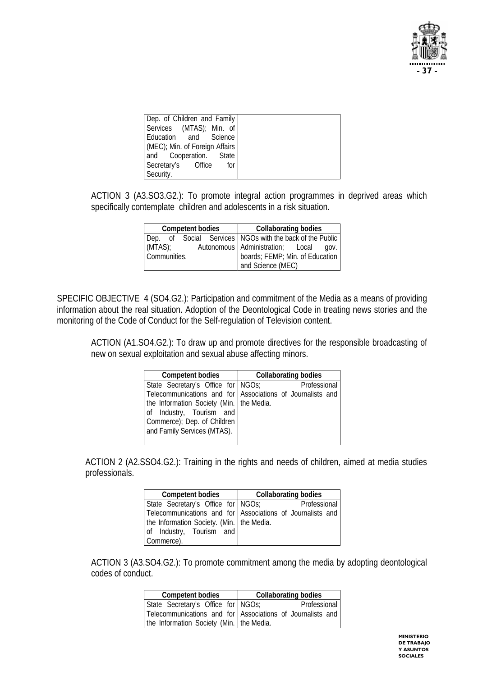

| Dep. of Children and Family    |
|--------------------------------|
| Services (MTAS); Min. of       |
| Education and Science          |
| (MEC); Min. of Foreign Affairs |
| and Cooperation. State         |
| Secretary's Office<br>for      |
| Security.                      |

ACTION 3 (A3.SO3.G2.): To promote integral action programmes in deprived areas which specifically contemplate children and adolescents in a risk situation.

|              | <b>Competent bodies</b> | <b>Collaborating bodies</b>                                |  |  |
|--------------|-------------------------|------------------------------------------------------------|--|--|
|              |                         | Dep. of Social Services   NGOs with the back of the Public |  |  |
| (MTAS)       |                         | Autonomous   Administration; Local gov.                    |  |  |
| Communities. |                         | boards; FEMP; Min. of Education                            |  |  |
|              |                         | and Science (MEC)                                          |  |  |

SPECIFIC OBJECTIVE 4 (SO4.G2.): Participation and commitment of the Media as a means of providing information about the real situation. Adoption of the Deontological Code in treating news stories and the monitoring of the Code of Conduct for the Self-regulation of Television content.

ACTION (A1.SO4.G2.): To draw up and promote directives for the responsible broadcasting of new on sexual exploitation and sexual abuse affecting minors.

| <b>Competent bodies</b>                                                                                      | Collaborating bodies                                                       |  |  |
|--------------------------------------------------------------------------------------------------------------|----------------------------------------------------------------------------|--|--|
| State Secretary's Office for NGOs;<br>the Information Society (Min.   the Media.<br>of Industry, Tourism and | Professional<br>Telecommunications and for Associations of Journalists and |  |  |
| Commerce); Dep. of Children<br>and Family Services (MTAS).                                                   |                                                                            |  |  |

ACTION 2 (A2.SSO4.G2.): Training in the rights and needs of children, aimed at media studies professionals.

| <b>Competent bodies</b>                     | <b>Collaborating bodies</b>                                |  |  |
|---------------------------------------------|------------------------------------------------------------|--|--|
| State Secretary's Office for NGOs;          | <b>Professional</b>                                        |  |  |
|                                             | Telecommunications and for Associations of Journalists and |  |  |
| the Information Society. (Min.   the Media. |                                                            |  |  |
| of Industry, Tourism and                    |                                                            |  |  |
| Commerce).                                  |                                                            |  |  |

ACTION 3 (A3.SO4.G2.): To promote commitment among the media by adopting deontological codes of conduct.

| <b>Competent bodies</b>                  | <b>Collaborating bodies</b>                                |  |  |
|------------------------------------------|------------------------------------------------------------|--|--|
| State Secretary's Office for NGOs;       | Professional                                               |  |  |
|                                          | Telecommunications and for Associations of Journalists and |  |  |
| the Information Society (Min. the Media. |                                                            |  |  |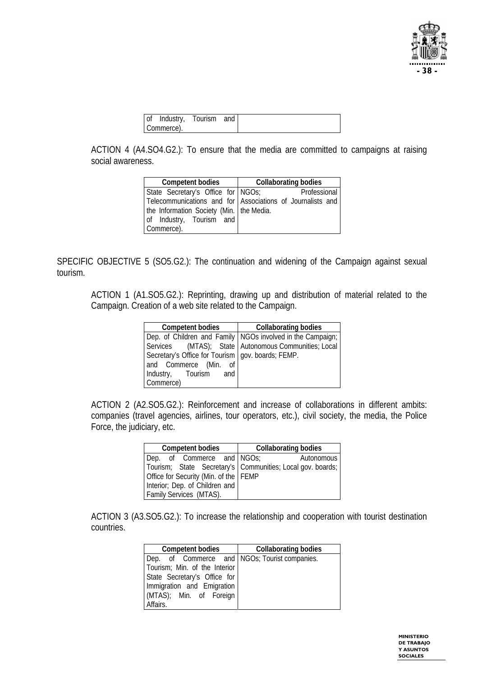

| of Industry, Tourism and |
|--------------------------|
| Commerce).               |

ACTION 4 (A4.SO4.G2.): To ensure that the media are committed to campaigns at raising social awareness.

| <b>Competent bodies</b>                    | <b>Collaborating bodies</b>                                |  |  |
|--------------------------------------------|------------------------------------------------------------|--|--|
| State Secretary's Office for NGOs;         | Professional                                               |  |  |
|                                            | Telecommunications and for Associations of Journalists and |  |  |
| the Information Society (Min.   the Media. |                                                            |  |  |
| of Industry, Tourism and                   |                                                            |  |  |
| Commerce).                                 |                                                            |  |  |

SPECIFIC OBJECTIVE 5 (SO5.G2.): The continuation and widening of the Campaign against sexual tourism.

ACTION 1 (A1.SO5.G2.): Reprinting, drawing up and distribution of material related to the Campaign. Creation of a web site related to the Campaign.

| <b>Competent bodies</b>                             | <b>Collaborating bodies</b>                                  |
|-----------------------------------------------------|--------------------------------------------------------------|
|                                                     | Dep. of Children and Family   NGOs involved in the Campaign; |
|                                                     | Services (MTAS); State Autonomous Communities; Local         |
| Secretary's Office for Tourism   gov. boards; FEMP. |                                                              |
| and Commerce (Min. of                               |                                                              |
| Industry, Tourism and                               |                                                              |
| Commerce)                                           |                                                              |

ACTION 2 (A2.SO5.G2.): Reinforcement and increase of collaborations in different ambits: companies (travel agencies, airlines, tour operators, etc.), civil society, the media, the Police Force, the judiciary, etc.

| <b>Competent bodies</b>                 | <b>Collaborating bodies</b>                                  |  |
|-----------------------------------------|--------------------------------------------------------------|--|
| Dep. of Commerce and NGOs;              | Autonomous                                                   |  |
|                                         | Tourism; State Secretary's   Communities; Local gov. boards; |  |
| Office for Security (Min. of the   FEMP |                                                              |  |
| Interior; Dep. of Children and          |                                                              |  |
| Family Services (MTAS).                 |                                                              |  |

ACTION 3 (A3.SO5.G2.): To increase the relationship and cooperation with tourist destination countries.

| <b>Competent bodies</b>                       | <b>Collaborating bodies</b> |
|-----------------------------------------------|-----------------------------|
| Dep. of Commerce and NGOs; Tourist companies. |                             |
| Tourism; Min. of the Interior                 |                             |
| State Secretary's Office for                  |                             |
| Immigration and Emigration                    |                             |
| (MTAS); Min. of Foreign                       |                             |
| Affairs.                                      |                             |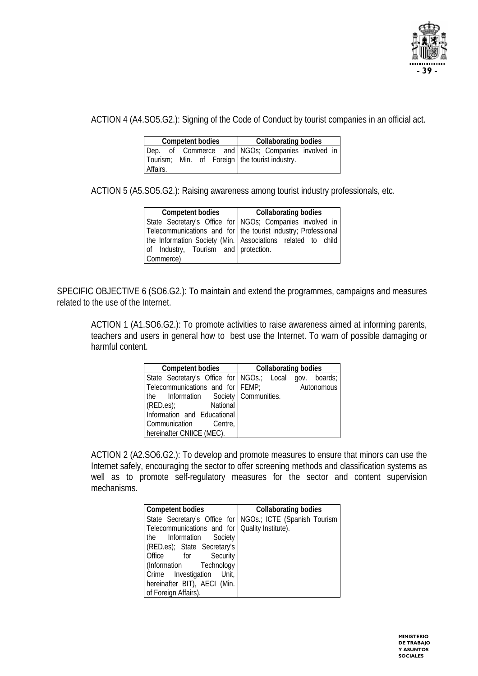

ACTION 4 (A4.SO5.G2.): Signing of the Code of Conduct by tourist companies in an official act.

| <b>Competent bodies</b> |  |  |  |  | <b>Collaborating bodies</b> |                                                  |  |  |
|-------------------------|--|--|--|--|-----------------------------|--------------------------------------------------|--|--|
|                         |  |  |  |  |                             | Dep. of Commerce and NGOs; Companies involved in |  |  |
|                         |  |  |  |  |                             | Tourism; Min. of Foreign   the tourist industry. |  |  |
| Affairs.                |  |  |  |  |                             |                                                  |  |  |

ACTION 5 (A5.SO5.G2.): Raising awareness among tourist industry professionals, etc.

| <b>Competent bodies</b>              | <b>Collaborating bodies</b>                                   |
|--------------------------------------|---------------------------------------------------------------|
|                                      | State Secretary's Office for NGOs; Companies involved in      |
|                                      | Telecommunications and for the tourist industry; Professional |
|                                      | the Information Society (Min. Associations related to child   |
| of Industry, Tourism and protection. |                                                               |
| Commerce)                            |                                                               |

SPECIFIC OBJECTIVE 6 (SO6.G2.): To maintain and extend the programmes, campaigns and measures related to the use of the Internet.

ACTION 1 (A1.SO6.G2.): To promote activities to raise awareness aimed at informing parents, teachers and users in general how to best use the Internet. To warn of possible damaging or harmful content.

| <b>Competent bodies</b>              | <b>Collaborating bodies</b>                            |  |
|--------------------------------------|--------------------------------------------------------|--|
|                                      | State Secretary's Office for NGOs.; Local gov. boards; |  |
| Telecommunications and for FEMP;     | Autonomous                                             |  |
| the Information Society Communities. |                                                        |  |
| (RED.es); National                   |                                                        |  |
| Information and Educational          |                                                        |  |
| Communication Centre,                |                                                        |  |
| hereinafter CNIICE (MEC).            |                                                        |  |

ACTION 2 (A2.SO6.G2.): To develop and promote measures to ensure that minors can use the Internet safely, encouraging the sector to offer screening methods and classification systems as well as to promote self-regulatory measures for the sector and content supervision mechanisms.

| Competent bodies                               | <b>Collaborating bodies</b>                               |
|------------------------------------------------|-----------------------------------------------------------|
|                                                | State Secretary's Office for NGOs.; ICTE (Spanish Tourism |
| Telecommunications and for Quality Institute). |                                                           |
| the Information Society                        |                                                           |
| (RED.es); State Secretary's                    |                                                           |
| Office for Security                            |                                                           |
| (Information Technology                        |                                                           |
| Crime Investigation Unit,                      |                                                           |
| hereinafter BIT), AECI (Min.                   |                                                           |
| of Foreign Affairs).                           |                                                           |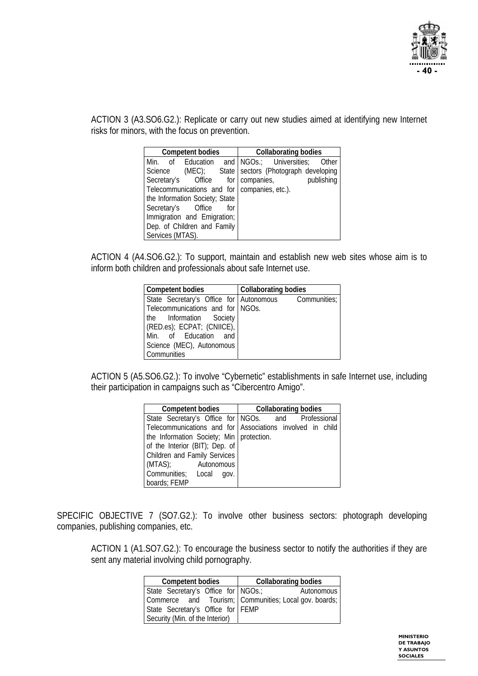

ACTION 3 (A3.SO6.G2.): Replicate or carry out new studies aimed at identifying new Internet risks for minors, with the focus on prevention.

| <b>Competent bodies</b>                               |  | <b>Collaborating bodies</b> |  |            |            |
|-------------------------------------------------------|--|-----------------------------|--|------------|------------|
| Min. of Education and NGOs.; Universities;            |  |                             |  |            | Other      |
| Science (MEC); State   sectors (Photograph developing |  |                             |  |            |            |
| Secretary's Office for                                |  |                             |  | companies, | publishing |
| Telecommunications and for   companies, etc.).        |  |                             |  |            |            |
| the Information Society; State                        |  |                             |  |            |            |
| Secretary's Office                                    |  | for                         |  |            |            |
| Immigration and Emigration;                           |  |                             |  |            |            |
| Dep. of Children and Family                           |  |                             |  |            |            |
| Services (MTAS).                                      |  |                             |  |            |            |

ACTION 4 (A4.SO6.G2.): To support, maintain and establish new web sites whose aim is to inform both children and professionals about safe Internet use.

| Competent bodies                 | <b>Collaborating bodies</b>                          |
|----------------------------------|------------------------------------------------------|
|                                  | State Secretary's Office for Autonomous Communities; |
| Telecommunications and for NGOs. |                                                      |
| the Information Society          |                                                      |
| (RED.es); ECPAT; (CNIICE),       |                                                      |
| Min. of Education and            |                                                      |
| Science (MEC), Autonomous        |                                                      |
| <b>Communities</b>               |                                                      |

ACTION 5 (A5.SO6.G2.): To involve "Cybernetic" establishments in safe Internet use, including their participation in campaigns such as "Cibercentro Amigo".

| <b>Competent bodies</b>                                   |  | <b>Collaborating bodies</b> |  |  |
|-----------------------------------------------------------|--|-----------------------------|--|--|
| State Secretary's Office for NGOs. and Professional       |  |                             |  |  |
| Telecommunications and for Associations involved in child |  |                             |  |  |
| the Information Society; Min   protection.                |  |                             |  |  |
| of the Interior (BIT); Dep. of                            |  |                             |  |  |
| Children and Family Services                              |  |                             |  |  |
| (MTAS); Autonomous                                        |  |                             |  |  |
| Communities; Local gov.                                   |  |                             |  |  |
| boards; FEMP                                              |  |                             |  |  |

SPECIFIC OBJECTIVE 7 (SO7.G2.): To involve other business sectors: photograph developing companies, publishing companies, etc.

ACTION 1 (A1.SO7.G2.): To encourage the business sector to notify the authorities if they are sent any material involving child pornography.

| <b>Competent bodies</b>               | <b>Collaborating bodies</b>                           |  |
|---------------------------------------|-------------------------------------------------------|--|
| State Secretary's Office for   NGOs.; | Autonomous                                            |  |
|                                       | Commerce and Tourism; Communities; Local gov. boards; |  |
| State Secretary's Office for FEMP     |                                                       |  |
| Security (Min. of the Interior)       |                                                       |  |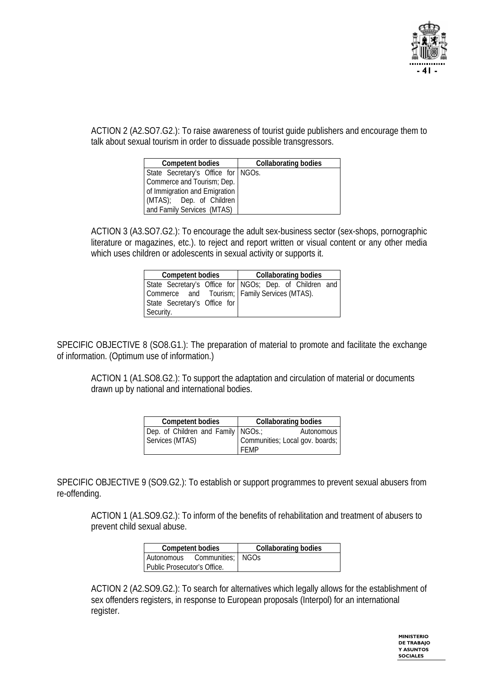

ACTION 2 (A2.SO7.G2.): To raise awareness of tourist guide publishers and encourage them to talk about sexual tourism in order to dissuade possible transgressors.

| <b>Competent bodies</b>            | <b>Collaborating bodies</b> |
|------------------------------------|-----------------------------|
| State Secretary's Office for NGOs. |                             |
| Commerce and Tourism; Dep.         |                             |
| of Immigration and Emigration      |                             |
| (MTAS); Dep. of Children           |                             |
| and Family Services (MTAS)         |                             |

ACTION 3 (A3.SO7.G2.): To encourage the adult sex-business sector (sex-shops, pornographic literature or magazines, etc.). to reject and report written or visual content or any other media which uses children or adolescents in sexual activity or supports it.

| <b>Competent bodies</b>      |  | <b>Collaborating bodies</b>                             |
|------------------------------|--|---------------------------------------------------------|
|                              |  | State Secretary's Office for NGOs; Dep. of Children and |
|                              |  | Commerce and Tourism; Family Services (MTAS).           |
| State Secretary's Office for |  |                                                         |
| Security.                    |  |                                                         |

SPECIFIC OBJECTIVE 8 (SO8.G1.): The preparation of material to promote and facilitate the exchange of information. (Optimum use of information.)

ACTION 1 (A1.SO8.G2.): To support the adaptation and circulation of material or documents drawn up by national and international bodies.

| <b>Competent bodies</b>            | <b>Collaborating bodies</b> |                                 |  |
|------------------------------------|-----------------------------|---------------------------------|--|
| Dep. of Children and Family NGOs.; |                             | Autonomous                      |  |
| Services (MTAS)                    | FFMP                        | Communities; Local gov. boards; |  |

SPECIFIC OBJECTIVE 9 (SO9.G2.): To establish or support programmes to prevent sexual abusers from re-offending.

ACTION 1 (A1.SO9.G2.): To inform of the benefits of rehabilitation and treatment of abusers to prevent child sexual abuse.

| <b>Competent bodies</b>      | <b>Collaborating bodies</b> |
|------------------------------|-----------------------------|
| Autonomous Communities; NGOs |                             |
| Public Prosecutor's Office.  |                             |

ACTION 2 (A2.SO9.G2.): To search for alternatives which legally allows for the establishment of sex offenders registers, in response to European proposals (Interpol) for an international register.

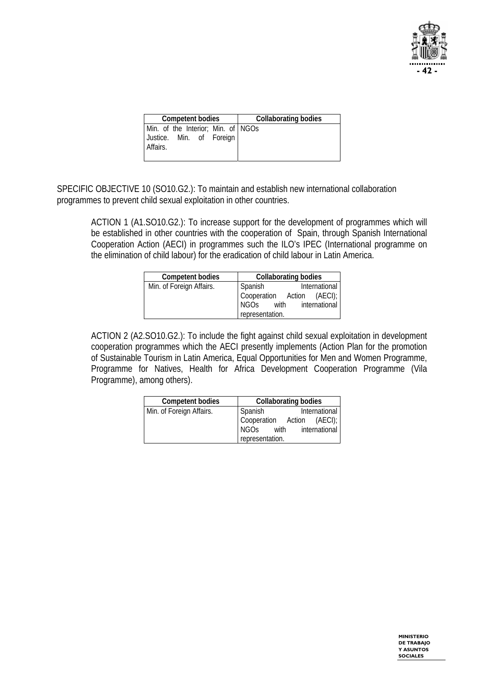

| <b>Competent bodies</b>                                                    | <b>Collaborating bodies</b> |  |
|----------------------------------------------------------------------------|-----------------------------|--|
| Min. of the Interior; Min. of NGOs<br>Justice. Min. of Foreign<br>Affairs. |                             |  |

SPECIFIC OBJECTIVE 10 (SO10.G2.): To maintain and establish new international collaboration programmes to prevent child sexual exploitation in other countries.

ACTION 1 (A1.SO10.G2.): To increase support for the development of programmes which will be established in other countries with the cooperation of Spain, through Spanish International Cooperation Action (AECI) in programmes such the ILO's IPEC (International programme on the elimination of child labour) for the eradication of child labour in Latin America.

| <b>Competent bodies</b>  | <b>Collaborating bodies</b>          |
|--------------------------|--------------------------------------|
| Min. of Foreign Affairs. | International<br>Spanish             |
|                          | Cooperation Action (AECI);           |
|                          | international<br>with<br><b>NGOs</b> |
|                          | representation.                      |

ACTION 2 (A2.SO10.G2.): To include the fight against child sexual exploitation in development cooperation programmes which the AECI presently implements (Action Plan for the promotion of Sustainable Tourism in Latin America, Equal Opportunities for Men and Women Programme, Programme for Natives, Health for Africa Development Cooperation Programme (Vila Programme), among others).

| <b>Competent bodies</b>  | <b>Collaborating bodies</b>       |  |  |  |  |
|--------------------------|-----------------------------------|--|--|--|--|
| Min. of Foreign Affairs. | International<br>Spanish          |  |  |  |  |
|                          | Cooperation Action (AECI);        |  |  |  |  |
|                          | with international<br><b>NGOS</b> |  |  |  |  |
|                          | representation.                   |  |  |  |  |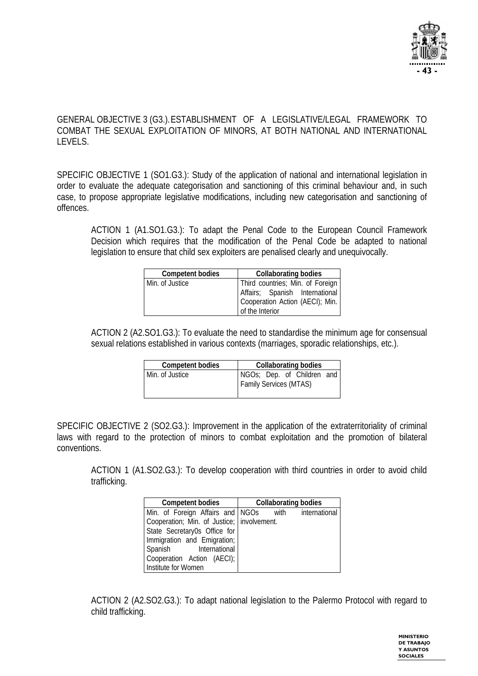

#### GENERAL OBJECTIVE 3 (G3.). ESTABLISHMENT OF A LEGISLATIVE/LEGAL FRAMEWORK TO COMBAT THE SEXUAL EXPLOITATION OF MINORS. AT BOTH NATIONAL AND INTERNATIONAL LEVELS.

SPECIFIC OBJECTIVE 1 (SO1.G3.): Study of the application of national and international legislation in order to evaluate the adequate categorisation and sanctioning of this criminal behaviour and, in such case, to propose appropriate legislative modifications, including new categorisation and sanctioning of offences.

ACTION 1 (A1.SO1.G3.): To adapt the Penal Code to the European Council Framework Decision which requires that the modification of the Penal Code be adapted to national legislation to ensure that child sex exploiters are penalised clearly and unequivocally.

| <b>Competent bodies</b> | <b>Collaborating bodies</b>                                                                                              |  |  |  |  |
|-------------------------|--------------------------------------------------------------------------------------------------------------------------|--|--|--|--|
| Min. of Justice         | Third countries; Min. of Foreign<br>Affairs; Spanish International<br>Cooperation Action (AECI); Min.<br>of the Interior |  |  |  |  |

ACTION 2 (A2.SO1.G3.): To evaluate the need to standardise the minimum age for consensual sexual relations established in various contexts (marriages, sporadic relationships, etc.).

| <b>Competent bodies</b> | <b>Collaborating bodies</b>                                 |
|-------------------------|-------------------------------------------------------------|
| Min. of Justice         | NGOs; Dep. of Children and<br><b>Family Services (MTAS)</b> |

SPECIFIC OBJECTIVE 2 (SO2.G3.): Improvement in the application of the extraterritoriality of criminal laws with regard to the protection of minors to combat exploitation and the promotion of bilateral conventions.

ACTION 1 (A1.SO2.G3.): To develop cooperation with third countries in order to avoid child trafficking.

| <b>Competent bodies</b>                      | <b>Collaborating bodies</b>                           |
|----------------------------------------------|-------------------------------------------------------|
|                                              | Min. of Foreign Affairs and   NGOs with international |
| Cooperation; Min. of Justice;   involvement. |                                                       |
| State Secretary0s Office for                 |                                                       |
| Immigration and Emigration;                  |                                                       |
| Spanish International                        |                                                       |
| Cooperation Action (AECI);                   |                                                       |
| Institute for Women                          |                                                       |

ACTION 2 (A2.SO2.G3.): To adapt national legislation to the Palermo Protocol with regard to child trafficking.

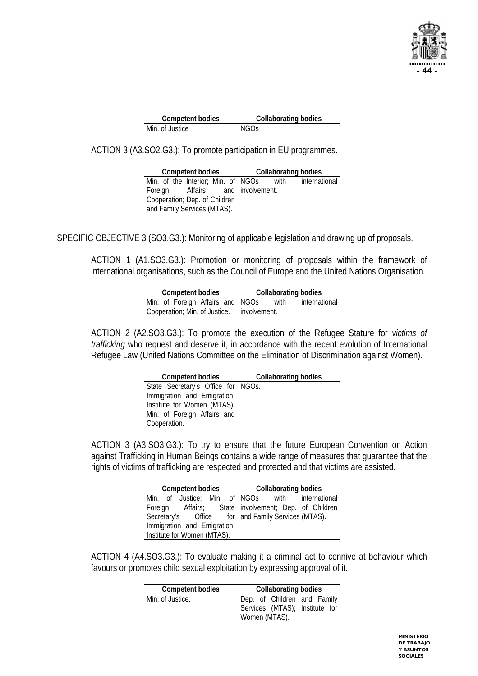

| <b>Competent bodies</b> | <b>Collaborating bodies</b> |
|-------------------------|-----------------------------|
| Min. of Justice         | NGOs                        |

ACTION 3 (A3.SO2.G3.): To promote participation in EU programmes.

|                                     | <b>Competent bodies</b>            |  |      | <b>Collaborating bodies</b> |
|-------------------------------------|------------------------------------|--|------|-----------------------------|
|                                     | Min. of the Interior; Min. of NGOs |  | with | international               |
| Affairs and involvement.<br>Foreign |                                    |  |      |                             |
| Cooperation; Dep. of Children       |                                    |  |      |                             |
|                                     | and Family Services (MTAS).        |  |      |                             |

SPECIFIC OBJECTIVE 3 (SO3.G3.): Monitoring of applicable legislation and drawing up of proposals.

ACTION 1 (A1.SO3.G3.): Promotion or monitoring of proposals within the framework of international organisations, such as the Council of Europe and the United Nations Organisation.

| <b>Competent bodies</b>                      | <b>Collaborating bodies</b> |
|----------------------------------------------|-----------------------------|
| Min. of Foreign Affairs and NGOs             | international<br>with       |
| Cooperation; Min. of Justice.   involvement. |                             |

ACTION 2 (A2.SO3.G3.): To promote the execution of the Refugee Stature for *victims of trafficking* who request and deserve it, in accordance with the recent evolution of International Refugee Law (United Nations Committee on the Elimination of Discrimination against Women).

| <b>Competent bodies</b>              | <b>Collaborating bodies</b> |
|--------------------------------------|-----------------------------|
| State Secretary's Office for   NGOs. |                             |
| Immigration and Emigration;          |                             |
| Institute for Women (MTAS);          |                             |
| Min. of Foreign Affairs and          |                             |
| Cooperation.                         |                             |

ACTION 3 (A3.SO3.G3.): To try to ensure that the future European Convention on Action against Trafficking in Human Beings contains a wide range of measures that guarantee that the rights of victims of trafficking are respected and protected and that victims are assisted.

| <b>Competent bodies</b>                                |                                                  |  |  | <b>Collaborating bodies</b> |  |  |  |  |
|--------------------------------------------------------|--------------------------------------------------|--|--|-----------------------------|--|--|--|--|
|                                                        | Min. of Justice; Min. of NGOs with international |  |  |                             |  |  |  |  |
| Foreign Affairs; State   involvement; Dep. of Children |                                                  |  |  |                             |  |  |  |  |
| Secretary's Office for and Family Services (MTAS).     |                                                  |  |  |                             |  |  |  |  |
| Immigration and Emigration;                            |                                                  |  |  |                             |  |  |  |  |
| Institute for Women (MTAS).                            |                                                  |  |  |                             |  |  |  |  |

ACTION 4 (A4.SO3.G3.): To evaluate making it a criminal act to connive at behaviour which favours or promotes child sexual exploitation by expressing approval of it.

| <b>Competent bodies</b> | <b>Collaborating bodies</b>                                                    |  |  |  |  |  |  |
|-------------------------|--------------------------------------------------------------------------------|--|--|--|--|--|--|
| Min. of Justice.        | Dep. of Children and Family<br>Services (MTAS); Institute for<br>Women (MTAS). |  |  |  |  |  |  |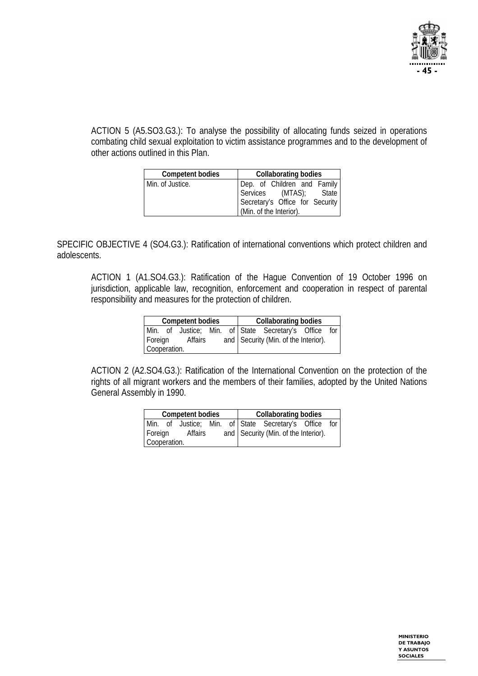

ACTION 5 (A5.SO3.G3.): To analyse the possibility of allocating funds seized in operations combating child sexual exploitation to victim assistance programmes and to the development of other actions outlined in this Plan.

| <b>Competent bodies</b> | Collaborating bodies                                      |  |  |  |  |  |
|-------------------------|-----------------------------------------------------------|--|--|--|--|--|
| Min. of Justice.        | Dep. of Children and Family                               |  |  |  |  |  |
|                         | Services (MTAS); State<br>Secretary's Office for Security |  |  |  |  |  |
|                         |                                                           |  |  |  |  |  |
|                         | (Min. of the Interior).                                   |  |  |  |  |  |

SPECIFIC OBJECTIVE 4 (SO4.G3.): Ratification of international conventions which protect children and adolescents.

ACTION 1 (A1.SO4.G3.): Ratification of the Hague Convention of 19 October 1996 on jurisdiction, applicable law, recognition, enforcement and cooperation in respect of parental responsibility and measures for the protection of children.

| <b>Competent bodies</b> |  |  |  |  | <b>Collaborating bodies</b>                           |  |  |  |  |  |
|-------------------------|--|--|--|--|-------------------------------------------------------|--|--|--|--|--|
|                         |  |  |  |  | Min. of Justice; Min. of State Secretary's Office for |  |  |  |  |  |
| Foreign<br>Affairs      |  |  |  |  | and Security (Min. of the Interior).                  |  |  |  |  |  |
| Cooperation.            |  |  |  |  |                                                       |  |  |  |  |  |

ACTION 2 (A2.SO4.G3.): Ratification of the International Convention on the protection of the rights of all migrant workers and the members of their families, adopted by the United Nations General Assembly in 1990.

| <b>Competent bodies</b> |  |  |                                      | <b>Collaborating bodies</b> |  |                                                       |  |  |
|-------------------------|--|--|--------------------------------------|-----------------------------|--|-------------------------------------------------------|--|--|
|                         |  |  |                                      |                             |  | Min. of Justice; Min. of State Secretary's Office for |  |  |
| Foreign<br>Affairs      |  |  | and Security (Min. of the Interior). |                             |  |                                                       |  |  |
| Cooperation.            |  |  |                                      |                             |  |                                                       |  |  |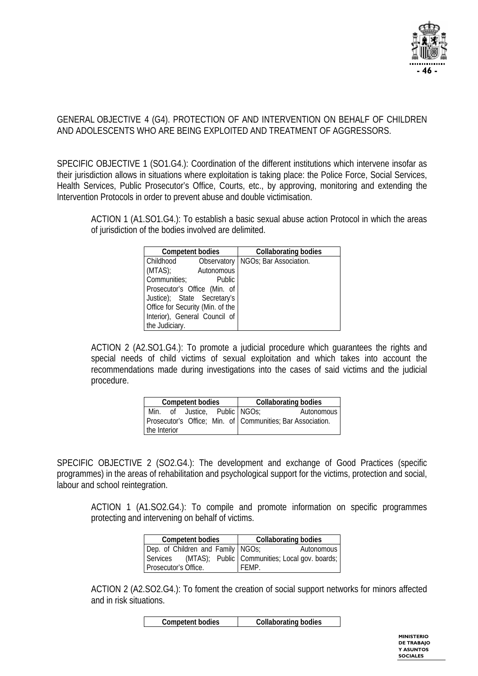

#### GENERAL OBJECTIVE 4 (G4). PROTECTION OF AND INTERVENTION ON BEHALF OF CHILDREN AND ADOLESCENTS WHO ARE BEING EXPLOITED AND TREATMENT OF AGGRESSORS.

SPECIFIC OBJECTIVE 1 (SO1.G4.): Coordination of the different institutions which intervene insofar as their jurisdiction allows in situations where exploitation is taking place: the Police Force, Social Services, Health Services, Public Prosecutor's Office, Courts, etc., by approving, monitoring and extending the Intervention Protocols in order to prevent abuse and double victimisation.

ACTION 1 (A1.SO1.G4.): To establish a basic sexual abuse action Protocol in which the areas of jurisdiction of the bodies involved are delimited.

| <b>Competent bodies</b>          |               | <b>Collaborating bodies</b>          |
|----------------------------------|---------------|--------------------------------------|
| Childhood                        |               | Observatory   NGOs; Bar Association. |
| (MTAS)<br>Autonomous             |               |                                      |
| Communities;                     | <b>Public</b> |                                      |
| Prosecutor's Office (Min. of     |               |                                      |
| Justice); State Secretary's      |               |                                      |
| Office for Security (Min. of the |               |                                      |
| Interior), General Council of    |               |                                      |
| the Judiciary.                   |               |                                      |

ACTION 2 (A2.SO1.G4.): To promote a judicial procedure which guarantees the rights and special needs of child victims of sexual exploitation and which takes into account the recommendations made during investigations into the cases of said victims and the judicial procedure.

| <b>Competent bodies</b> |                                                                            |  |  | <b>Collaborating bodies</b> |  |  |
|-------------------------|----------------------------------------------------------------------------|--|--|-----------------------------|--|--|
| Min.                    | of Justice, Public NGOs;                                                   |  |  | Autonomous                  |  |  |
|                         | Prosecutor's Office; Min. of Communities; Bar Association.<br>the Interior |  |  |                             |  |  |

SPECIFIC OBJECTIVE 2 (SO2.G4.): The development and exchange of Good Practices (specific programmes) in the areas of rehabilitation and psychological support for the victims, protection and social, labour and school reintegration.

ACTION 1 (A1.SO2.G4.): To compile and promote information on specific programmes protecting and intervening on behalf of victims.

|                                   | <b>Competent bodies</b> |  |       | <b>Collaborating bodies</b>                             |
|-----------------------------------|-------------------------|--|-------|---------------------------------------------------------|
| Dep. of Children and Family NGOs; |                         |  |       | Autonomous                                              |
|                                   |                         |  |       | Services (MTAS); Public Communities; Local gov. boards; |
| Prosecutor's Office.              |                         |  | FFMP. |                                                         |

ACTION 2 (A2.SO2.G4.): To foment the creation of social support networks for minors affected and in risk situations.

| <b>Competent bodies</b> | <b>Collaborating bodies</b> |
|-------------------------|-----------------------------|
|-------------------------|-----------------------------|

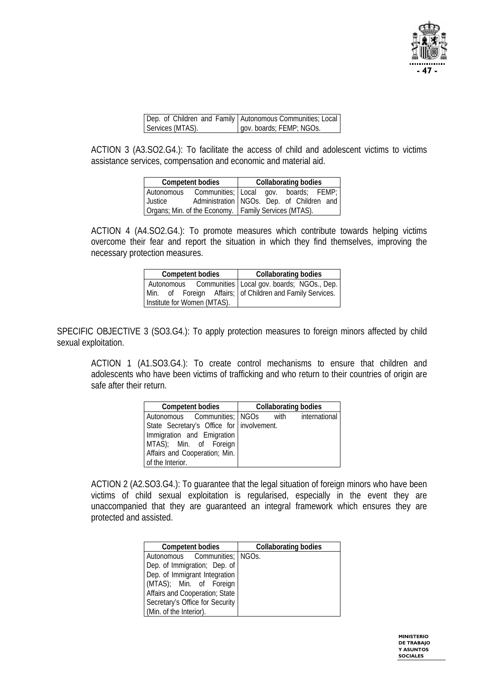

|                  | Dep. of Children and Family   Autonomous Communities; Local |
|------------------|-------------------------------------------------------------|
| Services (MTAS). | gov. boards; FEMP; NGOs.                                    |

ACTION 3 (A3.SO2.G4.): To facilitate the access of child and adolescent victims to victims assistance services, compensation and economic and material aid.

| <b>Competent bodies</b>                                | <b>Collaborating bodies</b>                 |  |  |  |  |  |  |
|--------------------------------------------------------|---------------------------------------------|--|--|--|--|--|--|
| l Autonomous                                           | Communities; Local gov. boards; FEMP;       |  |  |  |  |  |  |
| Justice                                                | Administration   NGOs. Dep. of Children and |  |  |  |  |  |  |
| Organs; Min. of the Economy.   Family Services (MTAS). |                                             |  |  |  |  |  |  |

ACTION 4 (A4.SO2.G4.): To promote measures which contribute towards helping victims overcome their fear and report the situation in which they find themselves, improving the necessary protection measures.

| <b>Competent bodies</b>     | <b>Collaborating bodies</b>                                                                                          |
|-----------------------------|----------------------------------------------------------------------------------------------------------------------|
| Institute for Women (MTAS). | Autonomous Communities   Local gov. boards; NGOs., Dep.<br>Min. of Foreign Affairs; of Children and Family Services. |

SPECIFIC OBJECTIVE 3 (SO3.G4.): To apply protection measures to foreign minors affected by child sexual exploitation.

ACTION 1 (A1.SO3.G4.): To create control mechanisms to ensure that children and adolescents who have been victims of trafficking and who return to their countries of origin are safe after their return.

| <b>Competent bodies</b>                   | <b>Collaborating bodies</b>                     |
|-------------------------------------------|-------------------------------------------------|
|                                           | Autonomous Communities; NGOs with international |
| State Secretary's Office for involvement. |                                                 |
| Immigration and Emigration                |                                                 |
| MTAS); Min. of Foreign                    |                                                 |
| Affairs and Cooperation; Min.             |                                                 |
| of the Interior.                          |                                                 |

ACTION 2 (A2.SO3.G4.): To guarantee that the legal situation of foreign minors who have been victims of child sexual exploitation is regularised, especially in the event they are unaccompanied that they are guaranteed an integral framework which ensures they are protected and assisted.

| <b>Competent bodies</b>         | <b>Collaborating bodies</b> |
|---------------------------------|-----------------------------|
| Autonomous Communities; NGOs.   |                             |
| Dep. of Immigration; Dep. of    |                             |
| Dep. of Immigrant Integration   |                             |
| (MTAS); Min. of Foreign         |                             |
| Affairs and Cooperation; State  |                             |
| Secretary's Office for Security |                             |
| (Min. of the Interior).         |                             |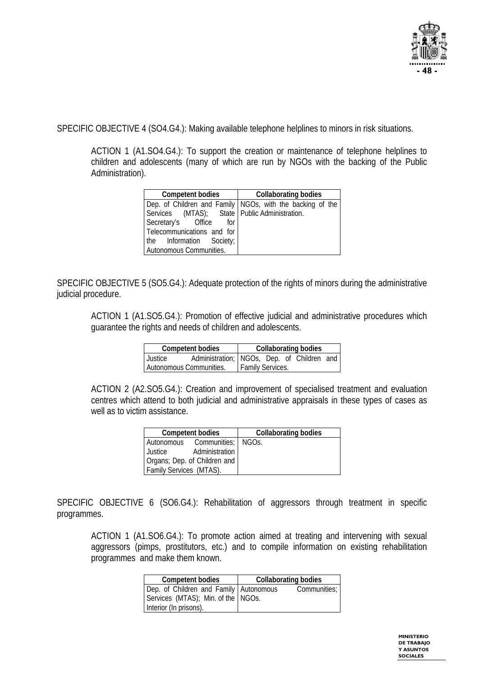

SPECIFIC OBJECTIVE 4 (SO4.G4.): Making available telephone helplines to minors in risk situations.

ACTION 1 (A1.SO4.G4.): To support the creation or maintenance of telephone helplines to children and adolescents (many of which are run by NGOs with the backing of the Public Administration).

| <b>Competent bodies</b>                         | <b>Collaborating bodies</b>                                 |  |  |  |
|-------------------------------------------------|-------------------------------------------------------------|--|--|--|
|                                                 | Dep. of Children and Family   NGOs, with the backing of the |  |  |  |
| Services (MTAS); State   Public Administration. |                                                             |  |  |  |
| Secretary's Office for                          |                                                             |  |  |  |
| Telecommunications and for                      |                                                             |  |  |  |
| the Information Society;                        |                                                             |  |  |  |
| Autonomous Communities.                         |                                                             |  |  |  |

SPECIFIC OBJECTIVE 5 (SO5.G4.): Adequate protection of the rights of minors during the administrative judicial procedure.

ACTION 1 (A1.SO5.G4.): Promotion of effective judicial and administrative procedures which guarantee the rights and needs of children and adolescents.

| <b>Competent bodies</b> | <b>Collaborating bodies</b> |                                            |  |  |  |  |
|-------------------------|-----------------------------|--------------------------------------------|--|--|--|--|
| Justice                 |                             | Administration; NGOs, Dep. of Children and |  |  |  |  |
| Autonomous Communities. | <b>Family Services.</b>     |                                            |  |  |  |  |

ACTION 2 (A2.SO5.G4.): Creation and improvement of specialised treatment and evaluation centres which attend to both judicial and administrative appraisals in these types of cases as well as to victim assistance.

|                         | <b>Competent bodies</b>         | <b>Collaborating bodies</b> |
|-------------------------|---------------------------------|-----------------------------|
|                         | Autonomous Communities;   NGOs. |                             |
| Justice                 | Administration                  |                             |
|                         | Organs; Dep. of Children and    |                             |
| Family Services (MTAS). |                                 |                             |

SPECIFIC OBJECTIVE 6 (SO6.G4.): Rehabilitation of aggressors through treatment in specific programmes.

ACTION 1 (A1.SO6.G4.): To promote action aimed at treating and intervening with sexual aggressors (pimps, prostitutors, etc.) and to compile information on existing rehabilitation programmes and make them known.

| <b>Competent bodies</b>                                                                                  | <b>Collaborating bodies</b> |
|----------------------------------------------------------------------------------------------------------|-----------------------------|
| Dep. of Children and Family   Autonomous<br>Services (MTAS); Min. of the NGOs.<br>Interior (In prisons). | Communities;                |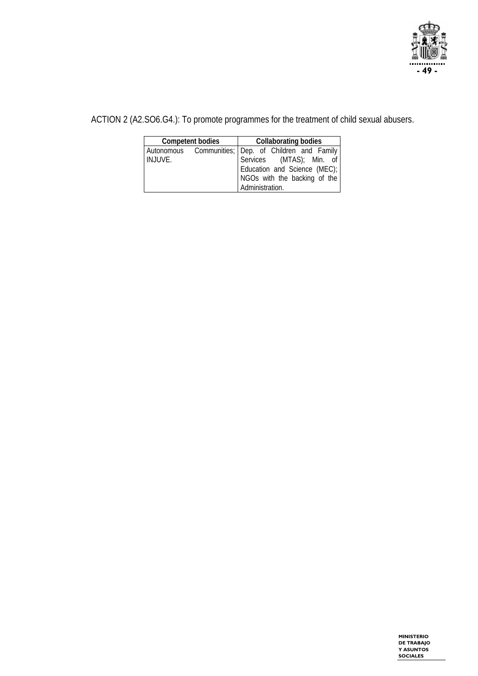

ACTION 2 (A2.SO6.G4.): To promote programmes for the treatment of child sexual abusers.

|         | <b>Competent bodies</b> | <b>Collaborating bodies</b>                                                                                                                     |
|---------|-------------------------|-------------------------------------------------------------------------------------------------------------------------------------------------|
| INJUVE. |                         | Autonomous Communities; Dep. of Children and Family<br>Services (MTAS); Min. of<br>Education and Science (MEC);<br>NGOs with the backing of the |
|         |                         | Administration.                                                                                                                                 |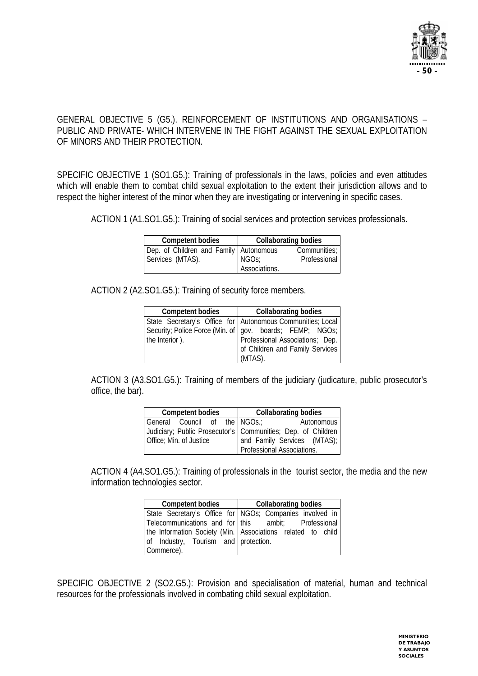

#### GENERAL OBJECTIVE 5 (G5.). REINFORCEMENT OF INSTITUTIONS AND ORGANISATIONS – PUBLIC AND PRIVATE- WHICH INTERVENE IN THE FIGHT AGAINST THE SEXUAL EXPLOITATION OF MINORS AND THEIR PROTECTION.

SPECIFIC OBJECTIVE 1 (SO1.G5.): Training of professionals in the laws, policies and even attitudes which will enable them to combat child sexual exploitation to the extent their jurisdiction allows and to respect the higher interest of the minor when they are investigating or intervening in specific cases.

ACTION 1 (A1.SO1.G5.): Training of social services and protection services professionals.

| <b>Competent bodies</b>                  |                    | <b>Collaborating bodies</b> |
|------------------------------------------|--------------------|-----------------------------|
| Dep. of Children and Family   Autonomous |                    | Communities;                |
| Services (MTAS).                         | NGO <sub>S</sub> ; | Professional                |
|                                          | Associations.      |                             |

ACTION 2 (A2.SO1.G5.): Training of security force members.

| <b>Competent bodies</b> | <b>Collaborating bodies</b>                                |
|-------------------------|------------------------------------------------------------|
|                         | State Secretary's Office for Autonomous Communities; Local |
|                         | Security; Police Force (Min. of   gov. boards; FEMP; NGOs; |
| the Interior).          | Professional Associations; Dep.                            |
|                         | of Children and Family Services                            |
|                         | (MTAS).                                                    |

ACTION 3 (A3.SO1.G5.): Training of members of the judiciary (judicature, public prosecutor's office, the bar).

| <b>Competent bodies</b>       | <b>Collaborating bodies</b>                                  |
|-------------------------------|--------------------------------------------------------------|
| General Council of the NGOs.; | Autonomous                                                   |
|                               | Judiciary; Public Prosecutor's Communities; Dep. of Children |
| Office; Min. of Justice       | and Family Services (MTAS);                                  |
|                               | Professional Associations.                                   |

ACTION 4 (A4.SO1.G5.): Training of professionals in the tourist sector, the media and the new information technologies sector.

| <b>Competent bodies</b>              | <b>Collaborating bodies</b>                                 |
|--------------------------------------|-------------------------------------------------------------|
|                                      | State Secretary's Office for NGOs; Companies involved in    |
|                                      | Telecommunications and for   this ambit; Professional       |
|                                      | the Information Society (Min. Associations related to child |
| of Industry, Tourism and protection. |                                                             |
| Commerce).                           |                                                             |

SPECIFIC OBJECTIVE 2 (SO2.G5.): Provision and specialisation of material, human and technical resources for the professionals involved in combating child sexual exploitation.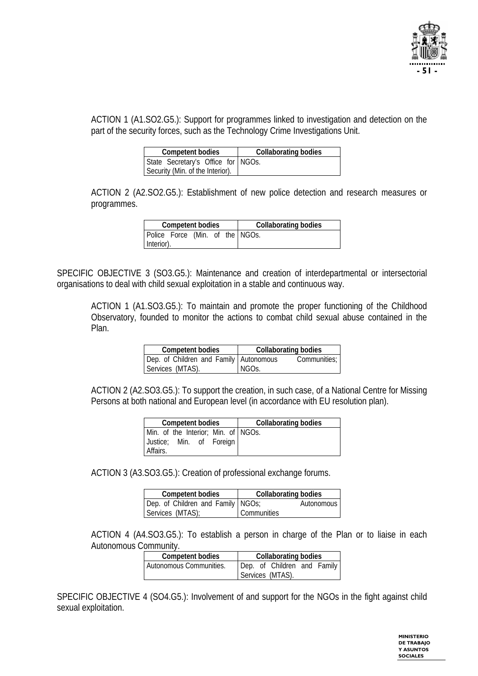

ACTION 1 (A1.SO2.G5.): Support for programmes linked to investigation and detection on the part of the security forces, such as the Technology Crime Investigations Unit.

| <b>Competent bodies</b>            | Collaborating bodies |
|------------------------------------|----------------------|
| State Secretary's Office for NGOs. |                      |
| Security (Min. of the Interior).   |                      |

ACTION 2 (A2.SO2.G5.): Establishment of new police detection and research measures or programmes.

| <b>Competent bodies</b> |                                 |  |  |  | <b>Collaborating bodies</b> |
|-------------------------|---------------------------------|--|--|--|-----------------------------|
|                         | Police Force (Min. of the NGOs. |  |  |  |                             |
| Interior).              |                                 |  |  |  |                             |

SPECIFIC OBJECTIVE 3 (SO3.G5.): Maintenance and creation of interdepartmental or intersectorial organisations to deal with child sexual exploitation in a stable and continuous way.

ACTION 1 (A1.SO3.G5.): To maintain and promote the proper functioning of the Childhood Observatory, founded to monitor the actions to combat child sexual abuse contained in the Plan.

| <b>Competent bodies</b>                | <b>Collaborating bodies</b> |
|----------------------------------------|-----------------------------|
| Dep. of Children and Family Autonomous | Communities: I              |
| Services (MTAS).                       | NGOs.                       |

ACTION 2 (A2.SO3.G5.): To support the creation, in such case, of a National Centre for Missing Persons at both national and European level (in accordance with EU resolution plan).

| <b>Competent bodies</b>             | <b>Collaborating bodies</b> |
|-------------------------------------|-----------------------------|
| Min. of the Interior; Min. of NGOs. |                             |
| Justice; Min. of Foreign            |                             |
| Affairs.                            |                             |

ACTION 3 (A3.SO3.G5.): Creation of professional exchange forums.

| <b>Competent bodies</b>           | <b>Collaborating bodies</b> |
|-----------------------------------|-----------------------------|
| Dep. of Children and Family NGOs; | <b>Autonomous</b>           |
| Services (MTAS);                  | Communities                 |

ACTION 4 (A4.SO3.G5.): To establish a person in charge of the Plan or to liaise in each Autonomous Community.

| <b>Competent bodies</b> | <b>Collaborating bodies</b> |
|-------------------------|-----------------------------|
| Autonomous Communities. | Dep. of Children and Family |
|                         | Services (MTAS).            |

SPECIFIC OBJECTIVE 4 (SO4.G5.): Involvement of and support for the NGOs in the fight against child sexual exploitation.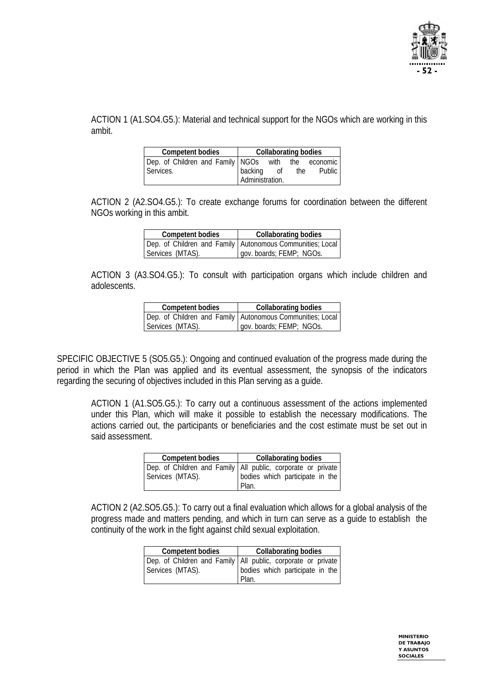

ACTION 1 (A1.SO4.G5.): Material and technical support for the NGOs which are working in this ambit.

| <b>Competent bodies</b>          |                 | <b>Collaborating bodies</b> |     |              |
|----------------------------------|-----------------|-----------------------------|-----|--------------|
| Dep. of Children and Family NGOs |                 | with                        |     | the economic |
| Services.                        | backing         | 0ľ                          | the | Public       |
|                                  | Administration. |                             |     |              |

ACTION 2 (A2.SO4.G5.): To create exchange forums for coordination between the different NGOs working in this ambit.

| <b>Competent bodies</b> | <b>Collaborating bodies</b>                                 |
|-------------------------|-------------------------------------------------------------|
|                         | Dep. of Children and Family   Autonomous Communities; Local |
| Services (MTAS).        | gov. boards; FEMP; NGOs.                                    |

ACTION 3 (A3.SO4.G5.): To consult with participation organs which include children and adolescents.

| <b>Competent bodies</b> | <b>Collaborating bodies</b>                                 |
|-------------------------|-------------------------------------------------------------|
|                         | Dep. of Children and Family   Autonomous Communities; Local |
| Services (MTAS).        | gov. boards; FEMP; NGOs.                                    |

SPECIFIC OBJECTIVE 5 (SO5.G5.): Ongoing and continued evaluation of the progress made during the period in which the Plan was applied and its eventual assessment, the synopsis of the indicators regarding the securing of objectives included in this Plan serving as a guide.

ACTION 1 (A1.SO5.G5.): To carry out a continuous assessment of the actions implemented under this Plan, which will make it possible to establish the necessary modifications. The actions carried out, the participants or beneficiaries and the cost estimate must be set out in said assessment.

| <b>Competent bodies</b> | <b>Collaborating bodies</b>                                                            |
|-------------------------|----------------------------------------------------------------------------------------|
|                         | Dep. of Children and Family All public, corporate or private Services (MTAS).<br>Plan. |

ACTION 2 (A2.SO5.G5.): To carry out a final evaluation which allows for a global analysis of the progress made and matters pending, and which in turn can serve as a guide to establish the continuity of the work in the fight against child sexual exploitation.

| <b>Competent bodies</b> | <b>Collaborating bodies</b>                                                                                  |
|-------------------------|--------------------------------------------------------------------------------------------------------------|
| Services (MTAS).        | Dep. of Children and Family   All public, corporate or private  <br>bodies which participate in the<br>Plan. |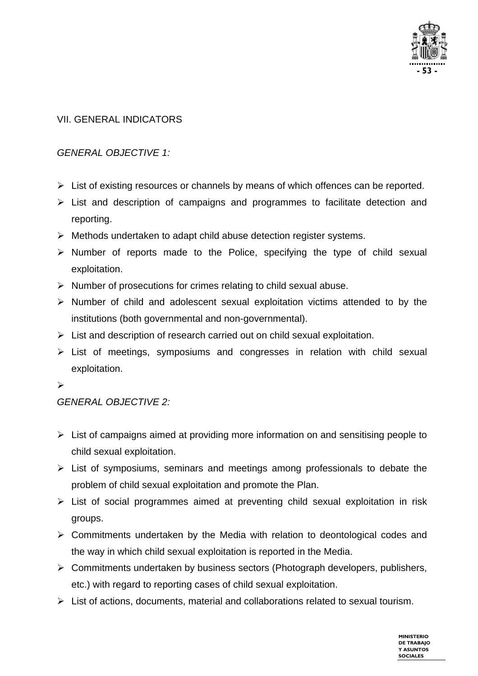

#### VII. GENERAL INDICATORS

#### *GENERAL OBJECTIVE 1:*

- $\triangleright$  List of existing resources or channels by means of which offences can be reported.
- $\triangleright$  List and description of campaigns and programmes to facilitate detection and reporting.
- $\triangleright$  Methods undertaken to adapt child abuse detection register systems.
- $\triangleright$  Number of reports made to the Police, specifying the type of child sexual exploitation.
- $\triangleright$  Number of prosecutions for crimes relating to child sexual abuse.
- $\triangleright$  Number of child and adolescent sexual exploitation victims attended to by the institutions (both governmental and non-governmental).
- $\triangleright$  List and description of research carried out on child sexual exploitation.
- $\triangleright$  List of meetings, symposiums and congresses in relation with child sexual exploitation.
- $\blacktriangleright$

#### *GENERAL OBJECTIVE 2:*

- $\triangleright$  List of campaigns aimed at providing more information on and sensitising people to child sexual exploitation.
- $\triangleright$  List of symposiums, seminars and meetings among professionals to debate the problem of child sexual exploitation and promote the Plan.
- $\triangleright$  List of social programmes aimed at preventing child sexual exploitation in risk groups.
- $\triangleright$  Commitments undertaken by the Media with relation to deontological codes and the way in which child sexual exploitation is reported in the Media.
- ¾ Commitments undertaken by business sectors (Photograph developers, publishers, etc.) with regard to reporting cases of child sexual exploitation.
- $\triangleright$  List of actions, documents, material and collaborations related to sexual tourism.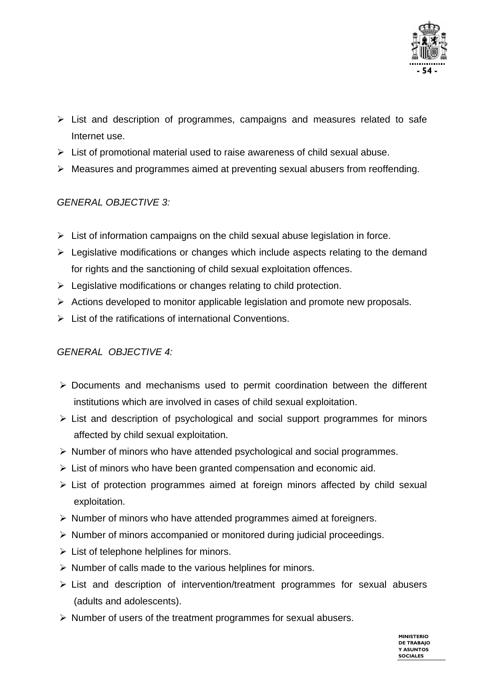

- $\triangleright$  List and description of programmes, campaigns and measures related to safe Internet use.
- $\triangleright$  List of promotional material used to raise awareness of child sexual abuse.
- ¾ Measures and programmes aimed at preventing sexual abusers from reoffending.

#### *GENERAL OBJECTIVE 3:*

- $\triangleright$  List of information campaigns on the child sexual abuse legislation in force.
- $\triangleright$  Legislative modifications or changes which include aspects relating to the demand for rights and the sanctioning of child sexual exploitation offences.
- $\triangleright$  Legislative modifications or changes relating to child protection.
- $\triangleright$  Actions developed to monitor applicable legislation and promote new proposals.
- $\triangleright$  List of the ratifications of international Conventions.

#### *GENERAL OBJECTIVE 4:*

- ¾ Documents and mechanisms used to permit coordination between the different institutions which are involved in cases of child sexual exploitation.
- $\triangleright$  List and description of psychological and social support programmes for minors affected by child sexual exploitation.
- ¾ Number of minors who have attended psychological and social programmes.
- $\triangleright$  List of minors who have been granted compensation and economic aid.
- ¾ List of protection programmes aimed at foreign minors affected by child sexual exploitation.
- ¾ Number of minors who have attended programmes aimed at foreigners.
- ¾ Number of minors accompanied or monitored during judicial proceedings.
- $\triangleright$  List of telephone helplines for minors.
- $\triangleright$  Number of calls made to the various helplines for minors.
- $\triangleright$  List and description of intervention/treatment programmes for sexual abusers (adults and adolescents).
- $\triangleright$  Number of users of the treatment programmes for sexual abusers.